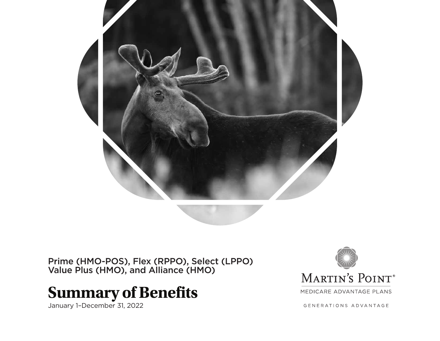

Prime (HMO-POS), Flex (RPPO), Select (LPPO) Value Plus (HMO), and Alliance (HMO)

# **Summary of Benefits**

January 1–December 31, 2022



MEDICARE ADVANTAGE PLANS

GENERATIONS ADVANTAGE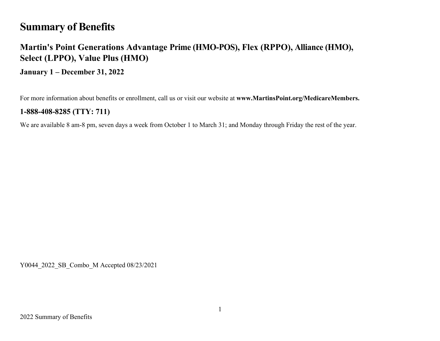# **Summary of Benefits**

# **Martin's Point Generations Advantage Prime (HMO-POS), Flex (RPPO), Alliance (HMO), Select (LPPO), Value Plus (HMO)**

**January 1 – December 31, 2022**

For more information about benefits or enrollment, call us or visit our website at **www.MartinsPoint.org/MedicareMembers.**

### **1-888-408-8285 (TTY: 711)**

We are available 8 am-8 pm, seven days a week from October 1 to March 31; and Monday through Friday the rest of the year.

Y0044\_2022\_SB\_Combo\_M Accepted 08/23/2021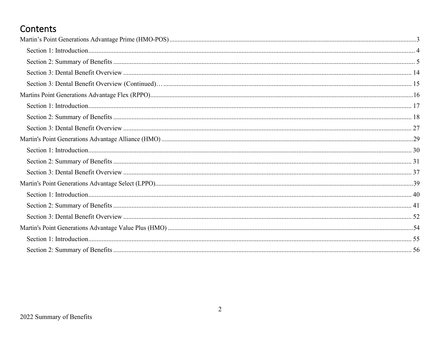# Contents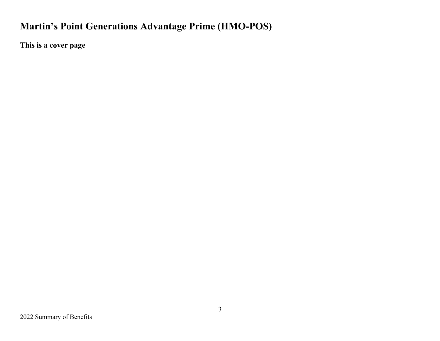# **Martin's Point Generations Advantage Prime (HMO-POS)**

**This is a cover page**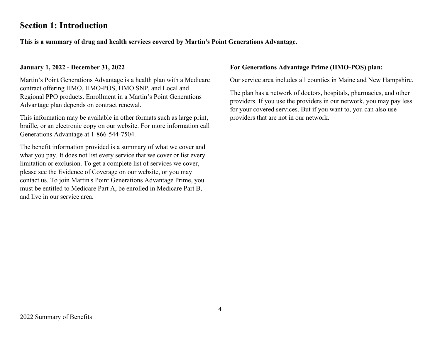# **Section 1: Introduction**

**This is a summary of drug and health services covered by Martin's Point Generations Advantage.**

#### **January 1, 2022 - December 31, 2022**

Martin's Point Generations Advantage is a health plan with a Medicare contract offering HMO, HMO-POS, HMO SNP, and Local and Regional PPO products. Enrollment in a Martin's Point Generations Advantage plan depends on contract renewal.

This information may be available in other formats such as large print, braille, or an electronic copy on our website. For more information call Generations Advantage at 1-866-544-7504.

The benefit information provided is a summary of what we cover and what you pay. It does not list every service that we cover or list every limitation or exclusion. To get a complete list of services we cover, please see the Evidence of Coverage on our website, or you may contact us. To join Martin's Point Generations Advantage Prime, you must be entitled to Medicare Part A, be enrolled in Medicare Part B, and live in our service area.

#### **For Generations Advantage Prime (HMO-POS) plan:**

Our service area includes all counties in Maine and New Hampshire.

The plan has a network of doctors, hospitals, pharmacies, and other providers. If you use the providers in our network, you may pay less for your covered services. But if you want to, you can also use providers that are not in our network.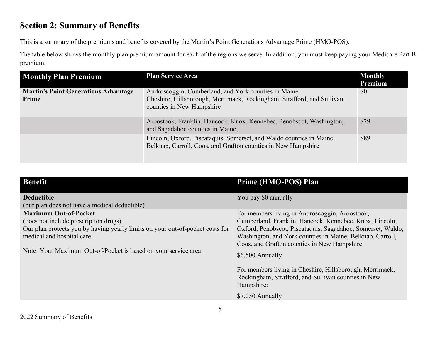# **Section 2: Summary of Benefits**

This is a summary of the premiums and benefits covered by the Martin's Point Generations Advantage Prime (HMO-POS).

The table below shows the monthly plan premium amount for each of the regions we serve. In addition, you must keep paying your Medicare Part B premium.

| <b>Monthly Plan Premium</b>                          | <b>Plan Service Area</b>                                                                                                                                    | <b>Monthly</b><br>Premium |
|------------------------------------------------------|-------------------------------------------------------------------------------------------------------------------------------------------------------------|---------------------------|
| <b>Martin's Point Generations Advantage</b><br>Prime | Androscoggin, Cumberland, and York counties in Maine<br>Cheshire, Hillsborough, Merrimack, Rockingham, Strafford, and Sullivan<br>counties in New Hampshire | \$0                       |
|                                                      | Aroostook, Franklin, Hancock, Knox, Kennebec, Penobscot, Washington,<br>and Sagadahoc counties in Maine;                                                    | \$29                      |
|                                                      | Lincoln, Oxford, Piscataquis, Somerset, and Waldo counties in Maine;<br>Belknap, Carroll, Coos, and Grafton counties in New Hampshire                       | \$89                      |

| <b>Benefit</b>                                                                                                                                                                                                                                          | <b>Prime (HMO-POS) Plan</b>                                                                                                                                                                                                                                                                                                                                                                                                                                     |
|---------------------------------------------------------------------------------------------------------------------------------------------------------------------------------------------------------------------------------------------------------|-----------------------------------------------------------------------------------------------------------------------------------------------------------------------------------------------------------------------------------------------------------------------------------------------------------------------------------------------------------------------------------------------------------------------------------------------------------------|
| <b>Deductible</b><br>(our plan does not have a medical deductible)                                                                                                                                                                                      | You pay \$0 annually                                                                                                                                                                                                                                                                                                                                                                                                                                            |
| <b>Maximum Out-of-Pocket</b><br>(does not include prescription drugs)<br>Our plan protects you by having yearly limits on your out-of-pocket costs for<br>medical and hospital care.<br>Note: Your Maximum Out-of-Pocket is based on your service area. | For members living in Androscoggin, Aroostook,<br>Cumberland, Franklin, Hancock, Kennebec, Knox, Lincoln,<br>Oxford, Penobscot, Piscataquis, Sagadahoc, Somerset, Waldo,<br>Washington, and York counties in Maine; Belknap, Carroll,<br>Coos, and Grafton counties in New Hampshire:<br>\$6,500 Annually<br>For members living in Cheshire, Hillsborough, Merrimack,<br>Rockingham, Strafford, and Sullivan counties in New<br>Hampshire:<br>$$7,050$ Annually |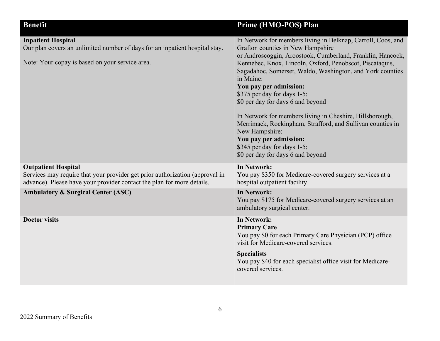| <b>Benefit</b>                                                                                                                                                                       | Prime (HMO-POS) Plan                                                                                                                                                                                                                                                                                                                                                                                                                                                                                                                                                                                                                          |
|--------------------------------------------------------------------------------------------------------------------------------------------------------------------------------------|-----------------------------------------------------------------------------------------------------------------------------------------------------------------------------------------------------------------------------------------------------------------------------------------------------------------------------------------------------------------------------------------------------------------------------------------------------------------------------------------------------------------------------------------------------------------------------------------------------------------------------------------------|
| <b>Inpatient Hospital</b><br>Our plan covers an unlimited number of days for an inpatient hospital stay.<br>Note: Your copay is based on your service area.                          | In Network for members living in Belknap, Carroll, Coos, and<br>Grafton counties in New Hampshire<br>or Androscoggin, Aroostook, Cumberland, Franklin, Hancock,<br>Kennebec, Knox, Lincoln, Oxford, Penobscot, Piscataquis,<br>Sagadahoc, Somerset, Waldo, Washington, and York counties<br>in Maine:<br>You pay per admission:<br>\$375 per day for days 1-5;<br>\$0 per day for days 6 and beyond<br>In Network for members living in Cheshire, Hillsborough,<br>Merrimack, Rockingham, Strafford, and Sullivan counties in<br>New Hampshire:<br>You pay per admission:<br>\$345 per day for days 1-5;<br>\$0 per day for days 6 and beyond |
| <b>Outpatient Hospital</b><br>Services may require that your provider get prior authorization (approval in<br>advance). Please have your provider contact the plan for more details. | In Network:<br>You pay \$350 for Medicare-covered surgery services at a<br>hospital outpatient facility.                                                                                                                                                                                                                                                                                                                                                                                                                                                                                                                                      |
| <b>Ambulatory &amp; Surgical Center (ASC)</b>                                                                                                                                        | <b>In Network:</b><br>You pay \$175 for Medicare-covered surgery services at an<br>ambulatory surgical center.                                                                                                                                                                                                                                                                                                                                                                                                                                                                                                                                |
| <b>Doctor visits</b>                                                                                                                                                                 | In Network:<br><b>Primary Care</b><br>You pay \$0 for each Primary Care Physician (PCP) office<br>visit for Medicare-covered services.<br><b>Specialists</b><br>You pay \$40 for each specialist office visit for Medicare-<br>covered services.                                                                                                                                                                                                                                                                                                                                                                                              |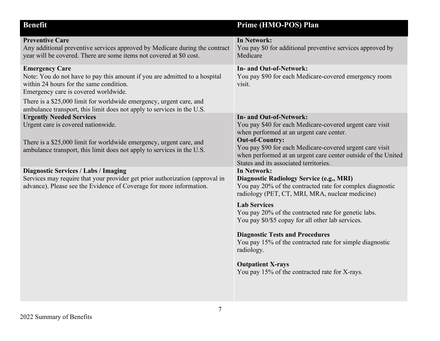| <b>Benefit</b>                                                                                                                                                                                                         | Prime (HMO-POS) Plan                                                                                                                                                                                                                                                                                                                    |
|------------------------------------------------------------------------------------------------------------------------------------------------------------------------------------------------------------------------|-----------------------------------------------------------------------------------------------------------------------------------------------------------------------------------------------------------------------------------------------------------------------------------------------------------------------------------------|
| <b>Preventive Care</b><br>Any additional preventive services approved by Medicare during the contract<br>year will be covered. There are some items not covered at \$0 cost.                                           | <b>In Network:</b><br>You pay \$0 for additional preventive services approved by<br>Medicare                                                                                                                                                                                                                                            |
| <b>Emergency Care</b><br>Note: You do not have to pay this amount if you are admitted to a hospital<br>within 24 hours for the same condition.<br>Emergency care is covered worldwide.                                 | In- and Out-of-Network:<br>You pay \$90 for each Medicare-covered emergency room<br>visit.                                                                                                                                                                                                                                              |
| There is a \$25,000 limit for worldwide emergency, urgent care, and<br>ambulance transport, this limit does not apply to services in the U.S.                                                                          |                                                                                                                                                                                                                                                                                                                                         |
| <b>Urgently Needed Services</b><br>Urgent care is covered nationwide.<br>There is a \$25,000 limit for worldwide emergency, urgent care, and<br>ambulance transport, this limit does not apply to services in the U.S. | <b>In- and Out-of-Network:</b><br>You pay \$40 for each Medicare-covered urgent care visit<br>when performed at an urgent care center.<br><b>Out-of-Country:</b><br>You pay \$90 for each Medicare-covered urgent care visit<br>when performed at an urgent care center outside of the United<br>States and its associated territories. |
| <b>Diagnostic Services / Labs / Imaging</b><br>Services may require that your provider get prior authorization (approval in<br>advance). Please see the Evidence of Coverage for more information.                     | <b>In Network:</b><br><b>Diagnostic Radiology Service (e.g., MRI)</b><br>You pay 20% of the contracted rate for complex diagnostic<br>radiology (PET, CT, MRI, MRA, nuclear medicine)<br><b>Lab Services</b><br>You pay 20% of the contracted rate for genetic labs.<br>You pay \$0/\$5 copay for all other lab services.               |
|                                                                                                                                                                                                                        | <b>Diagnostic Tests and Procedures</b><br>You pay 15% of the contracted rate for simple diagnostic<br>radiology.                                                                                                                                                                                                                        |
|                                                                                                                                                                                                                        | <b>Outpatient X-rays</b><br>You pay 15% of the contracted rate for X-rays.                                                                                                                                                                                                                                                              |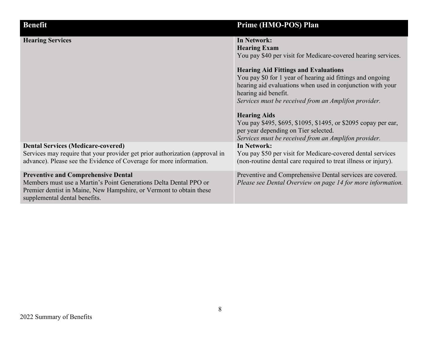| <b>Benefit</b>                                                                                                                                                                                                          | Prime (HMO-POS) Plan                                                                                                                                                                                                                                                                                                                                                                                                                                                                                   |
|-------------------------------------------------------------------------------------------------------------------------------------------------------------------------------------------------------------------------|--------------------------------------------------------------------------------------------------------------------------------------------------------------------------------------------------------------------------------------------------------------------------------------------------------------------------------------------------------------------------------------------------------------------------------------------------------------------------------------------------------|
| <b>Hearing Services</b>                                                                                                                                                                                                 | <b>In Network:</b><br><b>Hearing Exam</b><br>You pay \$40 per visit for Medicare-covered hearing services.<br><b>Hearing Aid Fittings and Evaluations</b><br>You pay \$0 for 1 year of hearing aid fittings and ongoing<br>hearing aid evaluations when used in conjunction with your<br>hearing aid benefit.<br>Services must be received from an Amplifon provider.<br><b>Hearing Aids</b><br>You pay \$495, \$695, \$1095, \$1495, or \$2095 copay per ear,<br>per year depending on Tier selected. |
| <b>Dental Services (Medicare-covered)</b><br>Services may require that your provider get prior authorization (approval in<br>advance). Please see the Evidence of Coverage for more information.                        | Services must be received from an Amplifon provider.<br><b>In Network:</b><br>You pay \$50 per visit for Medicare-covered dental services<br>(non-routine dental care required to treat illness or injury).                                                                                                                                                                                                                                                                                            |
| <b>Preventive and Comprehensive Dental</b><br>Members must use a Martin's Point Generations Delta Dental PPO or<br>Premier dentist in Maine, New Hampshire, or Vermont to obtain these<br>supplemental dental benefits. | Preventive and Comprehensive Dental services are covered.<br>Please see Dental Overview on page 14 for more information.                                                                                                                                                                                                                                                                                                                                                                               |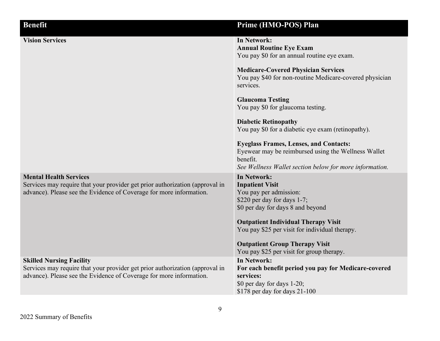| <b>Benefit</b>                                                                                                                                                                         | Prime (HMO-POS) Plan                                                                                                                                                                                                                                                                |
|----------------------------------------------------------------------------------------------------------------------------------------------------------------------------------------|-------------------------------------------------------------------------------------------------------------------------------------------------------------------------------------------------------------------------------------------------------------------------------------|
| <b>Vision Services</b>                                                                                                                                                                 | <b>In Network:</b><br><b>Annual Routine Eye Exam</b><br>You pay \$0 for an annual routine eye exam.                                                                                                                                                                                 |
|                                                                                                                                                                                        | <b>Medicare-Covered Physician Services</b><br>You pay \$40 for non-routine Medicare-covered physician<br>services.                                                                                                                                                                  |
|                                                                                                                                                                                        | <b>Glaucoma Testing</b><br>You pay \$0 for glaucoma testing.                                                                                                                                                                                                                        |
|                                                                                                                                                                                        | <b>Diabetic Retinopathy</b><br>You pay \$0 for a diabetic eye exam (retinopathy).                                                                                                                                                                                                   |
|                                                                                                                                                                                        | <b>Eyeglass Frames, Lenses, and Contacts:</b><br>Eyewear may be reimbursed using the Wellness Wallet<br>benefit.<br>See Wellness Wallet section below for more information.                                                                                                         |
| <b>Mental Health Services</b><br>Services may require that your provider get prior authorization (approval in<br>advance). Please see the Evidence of Coverage for more information.   | <b>In Network:</b><br><b>Inpatient Visit</b><br>You pay per admission:<br>\$220 per day for days 1-7;<br>\$0 per day for days 8 and beyond<br><b>Outpatient Individual Therapy Visit</b><br>You pay \$25 per visit for individual therapy.<br><b>Outpatient Group Therapy Visit</b> |
| <b>Skilled Nursing Facility</b><br>Services may require that your provider get prior authorization (approval in<br>advance). Please see the Evidence of Coverage for more information. | You pay \$25 per visit for group therapy.<br><b>In Network:</b><br>For each benefit period you pay for Medicare-covered<br>services:<br>\$0 per day for days 1-20;<br>\$178 per day for days $21-100$                                                                               |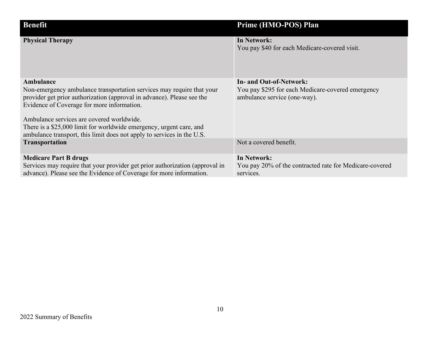| <b>Benefit</b>                                                                                                                                                                                                                                                                                                                                                                                           | Prime (HMO-POS) Plan                                                                                         |
|----------------------------------------------------------------------------------------------------------------------------------------------------------------------------------------------------------------------------------------------------------------------------------------------------------------------------------------------------------------------------------------------------------|--------------------------------------------------------------------------------------------------------------|
| <b>Physical Therapy</b>                                                                                                                                                                                                                                                                                                                                                                                  | In Network:<br>You pay \$40 for each Medicare-covered visit.                                                 |
| Ambulance<br>Non-emergency ambulance transportation services may require that your<br>provider get prior authorization (approval in advance). Please see the<br>Evidence of Coverage for more information.<br>Ambulance services are covered worldwide.<br>There is a \$25,000 limit for worldwide emergency, urgent care, and<br>ambulance transport, this limit does not apply to services in the U.S. | In- and Out-of-Network:<br>You pay \$295 for each Medicare-covered emergency<br>ambulance service (one-way). |
| <b>Transportation</b>                                                                                                                                                                                                                                                                                                                                                                                    | Not a covered benefit.                                                                                       |
| <b>Medicare Part B drugs</b><br>Services may require that your provider get prior authorization (approval in<br>advance). Please see the Evidence of Coverage for more information.                                                                                                                                                                                                                      | <b>In Network:</b><br>You pay 20% of the contracted rate for Medicare-covered<br>services.                   |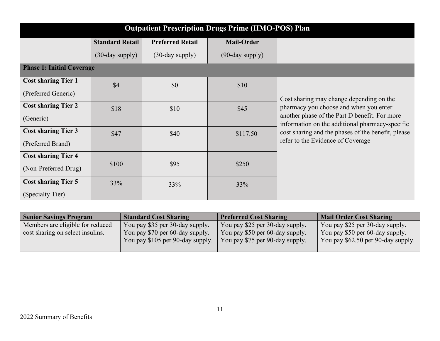| <b>Outpatient Prescription Drugs Prime (HMO-POS) Plan</b> |                        |                         |                    |                                                                                                  |
|-----------------------------------------------------------|------------------------|-------------------------|--------------------|--------------------------------------------------------------------------------------------------|
|                                                           | <b>Standard Retail</b> | <b>Preferred Retail</b> | <b>Mail-Order</b>  |                                                                                                  |
|                                                           | $(30$ -day supply $)$  | $(30$ -day supply $)$   | $(90$ -day supply) |                                                                                                  |
| <b>Phase 1: Initial Coverage</b>                          |                        |                         |                    |                                                                                                  |
| <b>Cost sharing Tier 1</b>                                | \$4                    | \$0                     | \$10               |                                                                                                  |
| (Preferred Generic)                                       |                        |                         |                    | Cost sharing may change depending on the                                                         |
| <b>Cost sharing Tier 2</b>                                | \$18                   | \$10                    | \$45               | pharmacy you choose and when you enter                                                           |
| (Generic)                                                 |                        |                         |                    | another phase of the Part D benefit. For more<br>information on the additional pharmacy-specific |
| <b>Cost sharing Tier 3</b>                                | \$47                   | \$40                    | \$117.50           | cost sharing and the phases of the benefit, please                                               |
| (Preferred Brand)                                         |                        |                         |                    | refer to the Evidence of Coverage                                                                |
| <b>Cost sharing Tier 4</b>                                |                        |                         |                    |                                                                                                  |
| (Non-Preferred Drug)                                      | \$100                  | \$95                    | \$250              |                                                                                                  |
| <b>Cost sharing Tier 5</b>                                | 33%                    | 33%                     | 33%                |                                                                                                  |
| (Specialty Tier)                                          |                        |                         |                    |                                                                                                  |

| <b>Senior Savings Program</b>    | <b>Standard Cost Sharing</b>     | <b>Preferred Cost Sharing</b>   | <b>Mail Order Cost Sharing</b>     |
|----------------------------------|----------------------------------|---------------------------------|------------------------------------|
| Members are eligible for reduced | You pay \$35 per 30-day supply.  | You pay \$25 per 30-day supply. | You pay \$25 per 30-day supply.    |
| cost sharing on select insulins. | You pay \$70 per 60-day supply.  | You pay \$50 per 60-day supply. | You pay \$50 per 60-day supply.    |
|                                  | You pay \$105 per 90-day supply. | You pay \$75 per 90-day supply. | You pay \$62.50 per 90-day supply. |
|                                  |                                  |                                 |                                    |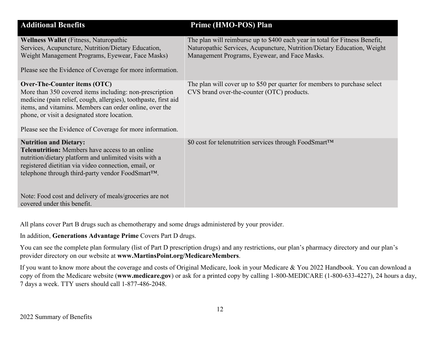| <b>Additional Benefits</b>                                                                                                                                                                                                                                                                                                                              | Prime (HMO-POS) Plan                                                                                                                                                                                    |
|---------------------------------------------------------------------------------------------------------------------------------------------------------------------------------------------------------------------------------------------------------------------------------------------------------------------------------------------------------|---------------------------------------------------------------------------------------------------------------------------------------------------------------------------------------------------------|
| <b>Wellness Wallet</b> (Fitness, Naturopathic<br>Services, Acupuncture, Nutrition/Dietary Education,<br>Weight Management Programs, Eyewear, Face Masks)<br>Please see the Evidence of Coverage for more information.                                                                                                                                   | The plan will reimburse up to \$400 each year in total for Fitness Benefit,<br>Naturopathic Services, Acupuncture, Nutrition/Dietary Education, Weight<br>Management Programs, Eyewear, and Face Masks. |
| Over-The-Counter items (OTC)<br>More than 350 covered items including: non-prescription<br>medicine (pain relief, cough, allergies), toothpaste, first aid<br>items, and vitamins. Members can order online, over the<br>phone, or visit a designated store location.<br>Please see the Evidence of Coverage for more information.                      | The plan will cover up to \$50 per quarter for members to purchase select<br>CVS brand over-the-counter (OTC) products.                                                                                 |
| <b>Nutrition and Dietary:</b><br><b>Telenutrition:</b> Members have access to an online<br>nutrition/dietary platform and unlimited visits with a<br>registered dietitian via video connection, email, or<br>telephone through third-party vendor FoodSmart™.<br>Note: Food cost and delivery of meals/groceries are not<br>covered under this benefit. | \$0 cost for telenutrition services through FoodSmart™                                                                                                                                                  |

All plans cover Part B drugs such as chemotherapy and some drugs administered by your provider.

In addition, **Generations Advantage Prime** Covers Part D drugs.

You can see the complete plan formulary (list of Part D prescription drugs) and any restrictions, our plan's pharmacy directory and our plan's provider directory on our website at **www.MartinsPoint.org/MedicareMembers**.

If you want to know more about the coverage and costs of Original Medicare, look in your Medicare & You 2022 Handbook. You can download a copy of from the Medicare website (**www.medicare.gov**) or ask for a printed copy by calling 1-800-MEDICARE (1-800-633-4227), 24 hours a day, 7 days a week. TTY users should call 1-877-486-2048.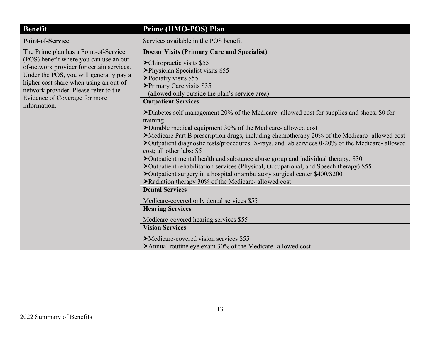| <b>Benefit</b>                                                                                                                                                                                                                                                                                                | Prime (HMO-POS) Plan                                                                                                                                                                                                                                                                                                                                                                                                                                                                                                                                                                                                                                                                                                         |
|---------------------------------------------------------------------------------------------------------------------------------------------------------------------------------------------------------------------------------------------------------------------------------------------------------------|------------------------------------------------------------------------------------------------------------------------------------------------------------------------------------------------------------------------------------------------------------------------------------------------------------------------------------------------------------------------------------------------------------------------------------------------------------------------------------------------------------------------------------------------------------------------------------------------------------------------------------------------------------------------------------------------------------------------------|
| <b>Point-of-Service</b>                                                                                                                                                                                                                                                                                       | Services available in the POS benefit:                                                                                                                                                                                                                                                                                                                                                                                                                                                                                                                                                                                                                                                                                       |
| The Prime plan has a Point-of-Service<br>(POS) benefit where you can use an out-<br>of-network provider for certain services.<br>Under the POS, you will generally pay a<br>higher cost share when using an out-of-<br>network provider. Please refer to the<br>Evidence of Coverage for more<br>information. | <b>Doctor Visits (Primary Care and Specialist)</b><br>$\blacktriangleright$ Chiropractic visits \$55<br>> Physician Specialist visits \$55<br>▶ Podiatry visits \$55<br>> Primary Care visits \$35<br>(allowed only outside the plan's service area)<br><b>Outpatient Services</b>                                                                                                                                                                                                                                                                                                                                                                                                                                           |
|                                                                                                                                                                                                                                                                                                               | Diabetes self-management 20% of the Medicare- allowed cost for supplies and shoes; \$0 for<br>training<br>Durable medical equipment 30% of the Medicare-allowed cost<br>>Medicare Part B prescription drugs, including chemotherapy 20% of the Medicare-allowed cost<br>▶ Outpatient diagnostic tests/procedures, X-rays, and lab services 0-20% of the Medicare-allowed<br>cost; all other labs: \$5<br>▶ Outpatient mental health and substance abuse group and individual therapy: \$30<br>▶ Outpatient rehabilitation services (Physical, Occupational, and Speech therapy) \$55<br>▶ Outpatient surgery in a hospital or ambulatory surgical center \$400/\$200<br>▶Radiation therapy 30% of the Medicare- allowed cost |
|                                                                                                                                                                                                                                                                                                               | <b>Dental Services</b><br>Medicare-covered only dental services \$55<br><b>Hearing Services</b><br>Medicare-covered hearing services \$55<br><b>Vision Services</b><br>Medicare-covered vision services \$55<br>$\blacktriangleright$ Annual routine eye exam 30% of the Medicare- allowed cost                                                                                                                                                                                                                                                                                                                                                                                                                              |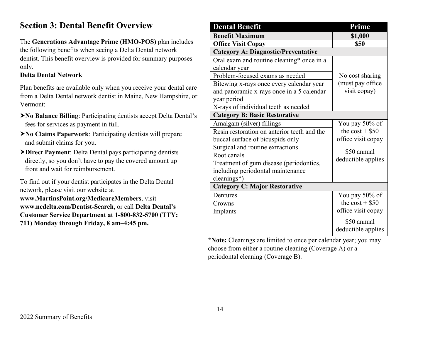# **Section 3: Dental Benefit Overview**

The **Generations Advantage Prime (HMO-POS)** plan includes the following benefits when seeing a Delta Dental network dentist. This benefit overview is provided for summary purposes only.

### **Delta Dental Network**

Plan benefits are available only when you receive your dental care from a Delta Dental network dentist in Maine, New Hampshire, or Vermont:

- **No Balance Billing**: Participating dentists accept Delta Dental's fees for services as payment in full.
- **No Claims Paperwork**: Participating dentists will prepare and submit claims for you.
- **Direct Payment**: Delta Dental pays participating dentists directly, so you don't have to pay the covered amount up front and wait for reimbursement.

To find out if your dentist participates in the Delta Dental network, please visit our website at **www.MartinsPoint.org/MedicareMembers**, visit **www.nedelta.com/Dentist-Search**, or call **Delta Dental's Customer Service Department at 1-800-832-5700 (TTY: 711) Monday through Friday, 8 am–4:45 pm.**

| <b>Dental Benefit</b>                       | Prime                             |
|---------------------------------------------|-----------------------------------|
| <b>Benefit Maximum</b>                      | \$1,000                           |
| <b>Office Visit Copay</b>                   | \$50                              |
| <b>Category A: Diagnostic/Preventative</b>  |                                   |
| Oral exam and routine cleaning* once in a   |                                   |
| calendar year                               |                                   |
| Problem-focused exams as needed             | No cost sharing                   |
| Bitewing x-rays once every calendar year    | (must pay office)                 |
| and panoramic x-rays once in a 5 calendar   | visit copay)                      |
| year period                                 |                                   |
| X-rays of individual teeth as needed        |                                   |
| <b>Category B: Basic Restorative</b>        |                                   |
| Amalgam (silver) fillings                   | You pay 50% of                    |
| Resin restoration on anterior teeth and the | the $cost + $50$                  |
| buccal surface of bicuspids only            | office visit copay                |
| Surgical and routine extractions            | \$50 annual                       |
| Root canals                                 | deductible applies                |
| Treatment of gum disease (periodontics,     |                                   |
| including periodontal maintenance           |                                   |
| cleanings*)                                 |                                   |
| <b>Category C: Major Restorative</b>        |                                   |
| Dentures                                    | You pay 50% of                    |
| Crowns                                      | the $cost + $50$                  |
| Implants                                    | office visit copay                |
|                                             | \$50 annual<br>deductible applies |
|                                             |                                   |

**\*Note:** Cleanings are limited to once per calendar year; you may choose from either a routine cleaning (Coverage A) or a periodontal cleaning (Coverage B).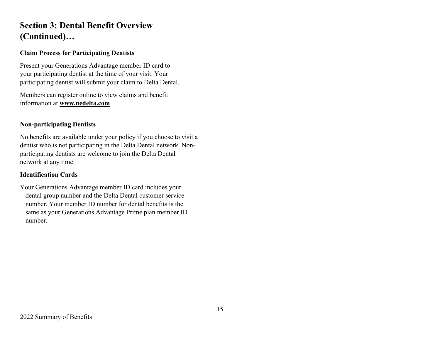# **Section 3: Dental Benefit Overview (Continued)…**

### **Claim Process for Participating Dentists**

Present your Generations Advantage member ID card to your participating dentist at the time of your visit. Your participating dentist will submit your claim to Delta Dental.

Members can register online to view claims and benefit information at **[www.nedelta.com](http://www.nedelta.com/)**.

#### **Non-participating Dentists**

No benefits are available under your policy if you choose to visit a dentist who is not participating in the Delta Dental network. Nonparticipating dentists are welcome to join the Delta Dental network at any time.

#### **Identification Cards**

Your Generations Advantage member ID card includes your dental group number and the Delta Dental customer service number. Your member ID number for dental benefits is the same as your Generations Advantage Prime plan member ID number.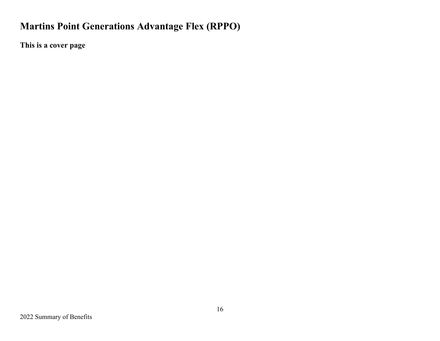# **Martins Point Generations Advantage Flex (RPPO)**

**This is a cover page**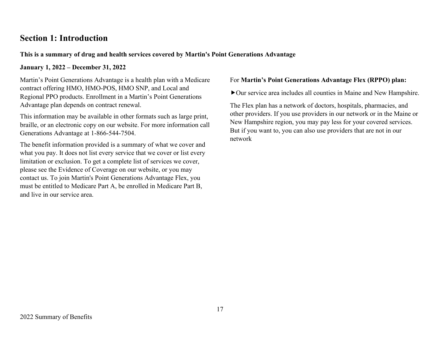# **Section 1: Introduction**

### **This is a summary of drug and health services covered by Martin's Point Generations Advantage**

**January 1, 2022 – December 31, 2022**

Martin's Point Generations Advantage is a health plan with a Medicare contract offering HMO, HMO-POS, HMO SNP, and Local and Regional PPO products. Enrollment in a Martin's Point Generations Advantage plan depends on contract renewal.

This information may be available in other formats such as large print, braille, or an electronic copy on our website. For more information call Generations Advantage at 1-866-544-7504.

The benefit information provided is a summary of what we cover and what you pay. It does not list every service that we cover or list every limitation or exclusion. To get a complete list of services we cover, please see the Evidence of Coverage on our website, or you may contact us. To join Martin's Point Generations Advantage Flex, you must be entitled to Medicare Part A, be enrolled in Medicare Part B, and live in our service area.

#### For **Martin's Point Generations Advantage Flex (RPPO) plan:**

Our service area includes all counties in Maine and New Hampshire.

The Flex plan has a network of doctors, hospitals, pharmacies, and other providers. If you use providers in our network or in the Maine or New Hampshire region, you may pay less for your covered services. But if you want to, you can also use providers that are not in our network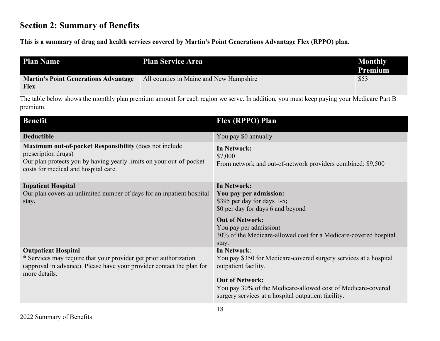# **Section 2: Summary of Benefits**

**This is a summary of drug and health services covered by Martin's Point Generations Advantage Flex (RPPO) plan.**

| <b>Plan Name</b>                                           | <b>Plan Service Area</b>                | <b>Monthly</b><br><b>Premium</b> |
|------------------------------------------------------------|-----------------------------------------|----------------------------------|
| <b>Martin's Point Generations Advantage</b><br><b>Flex</b> | All counties in Maine and New Hampshire | \$53                             |

The table below shows the monthly plan premium amount for each region we serve. In addition, you must keep paying your Medicare Part B premium.

| <b>Benefit</b>                                                                                                                                                                               | Flex (RPPO) Plan                                                                                                                                                                                                                                          |
|----------------------------------------------------------------------------------------------------------------------------------------------------------------------------------------------|-----------------------------------------------------------------------------------------------------------------------------------------------------------------------------------------------------------------------------------------------------------|
| <b>Deductible</b>                                                                                                                                                                            | You pay \$0 annually                                                                                                                                                                                                                                      |
| Maximum out-of-pocket Responsibility (does not include<br>prescription drugs)<br>Our plan protects you by having yearly limits on your out-of-pocket<br>costs for medical and hospital care. | In Network:<br>\$7,000<br>From network and out-of-network providers combined: \$9,500                                                                                                                                                                     |
| <b>Inpatient Hospital</b><br>Our plan covers an unlimited number of days for an inpatient hospital<br>stay.                                                                                  | <b>In Network:</b><br>You pay per admission:<br>\$395 per day for days 1-5;<br>\$0 per day for days 6 and beyond<br><b>Out of Network:</b><br>You pay per admission:<br>30% of the Medicare-allowed cost for a Medicare-covered hospital<br>stay.         |
| <b>Outpatient Hospital</b><br>* Services may require that your provider get prior authorization<br>(approval in advance). Please have your provider contact the plan for<br>more details.    | In Network:<br>You pay \$350 for Medicare-covered surgery services at a hospital<br>outpatient facility.<br><b>Out of Network:</b><br>You pay 30% of the Medicare-allowed cost of Medicare-covered<br>surgery services at a hospital outpatient facility. |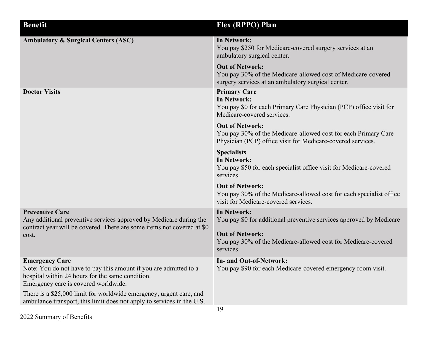| <b>Benefit</b>                                                                                                                                                                         | Flex (RPPO) Plan                                                                                                                                        |  |
|----------------------------------------------------------------------------------------------------------------------------------------------------------------------------------------|---------------------------------------------------------------------------------------------------------------------------------------------------------|--|
| <b>Ambulatory &amp; Surgical Centers (ASC)</b>                                                                                                                                         | In Network:<br>You pay \$250 for Medicare-covered surgery services at an<br>ambulatory surgical center.                                                 |  |
|                                                                                                                                                                                        | <b>Out of Network:</b><br>You pay 30% of the Medicare-allowed cost of Medicare-covered<br>surgery services at an ambulatory surgical center.            |  |
| <b>Doctor Visits</b>                                                                                                                                                                   | <b>Primary Care</b><br><b>In Network:</b><br>You pay \$0 for each Primary Care Physician (PCP) office visit for<br>Medicare-covered services.           |  |
|                                                                                                                                                                                        | <b>Out of Network:</b><br>You pay 30% of the Medicare-allowed cost for each Primary Care<br>Physician (PCP) office visit for Medicare-covered services. |  |
|                                                                                                                                                                                        | <b>Specialists</b><br>In Network:<br>You pay \$50 for each specialist office visit for Medicare-covered<br>services.                                    |  |
|                                                                                                                                                                                        | <b>Out of Network:</b><br>You pay 30% of the Medicare-allowed cost for each specialist office<br>visit for Medicare-covered services.                   |  |
| <b>Preventive Care</b><br>Any additional preventive services approved by Medicare during the<br>contract year will be covered. There are some items not covered at \$0<br>cost.        | In Network:<br>You pay \$0 for additional preventive services approved by Medicare                                                                      |  |
|                                                                                                                                                                                        | <b>Out of Network:</b><br>You pay 30% of the Medicare-allowed cost for Medicare-covered<br>services.                                                    |  |
| <b>Emergency Care</b><br>Note: You do not have to pay this amount if you are admitted to a<br>hospital within 24 hours for the same condition.<br>Emergency care is covered worldwide. | In- and Out-of-Network:<br>You pay \$90 for each Medicare-covered emergency room visit.                                                                 |  |
| There is a \$25,000 limit for worldwide emergency, urgent care, and<br>ambulance transport, this limit does not apply to services in the U.S.                                          |                                                                                                                                                         |  |
|                                                                                                                                                                                        | 19                                                                                                                                                      |  |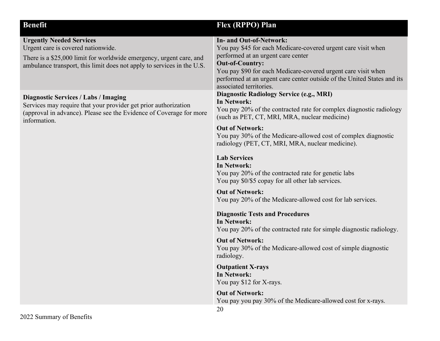| <b>Benefit</b>                                                                                                                                                                                                         | Flex (RPPO) Plan                                                                                                                                                                                                                                                                                                                                                                                                                                                                                                                                                                                                                                                                                                                                                                                                                                                                                                                                                                                                |
|------------------------------------------------------------------------------------------------------------------------------------------------------------------------------------------------------------------------|-----------------------------------------------------------------------------------------------------------------------------------------------------------------------------------------------------------------------------------------------------------------------------------------------------------------------------------------------------------------------------------------------------------------------------------------------------------------------------------------------------------------------------------------------------------------------------------------------------------------------------------------------------------------------------------------------------------------------------------------------------------------------------------------------------------------------------------------------------------------------------------------------------------------------------------------------------------------------------------------------------------------|
| <b>Urgently Needed Services</b><br>Urgent care is covered nationwide.<br>There is a \$25,000 limit for worldwide emergency, urgent care, and<br>ambulance transport, this limit does not apply to services in the U.S. | <b>In- and Out-of-Network:</b><br>You pay \$45 for each Medicare-covered urgent care visit when<br>performed at an urgent care center<br><b>Out-of-Country:</b><br>You pay \$90 for each Medicare-covered urgent care visit when<br>performed at an urgent care center outside of the United States and its<br>associated territories.                                                                                                                                                                                                                                                                                                                                                                                                                                                                                                                                                                                                                                                                          |
| <b>Diagnostic Services / Labs / Imaging</b><br>Services may require that your provider get prior authorization<br>(approval in advance). Please see the Evidence of Coverage for more<br>information.                  | <b>Diagnostic Radiology Service (e.g., MRI)</b><br><b>In Network:</b><br>You pay 20% of the contracted rate for complex diagnostic radiology<br>(such as PET, CT, MRI, MRA, nuclear medicine)<br><b>Out of Network:</b><br>You pay 30% of the Medicare-allowed cost of complex diagnostic<br>radiology (PET, CT, MRI, MRA, nuclear medicine).<br><b>Lab Services</b><br><b>In Network:</b><br>You pay 20% of the contracted rate for genetic labs<br>You pay \$0/\$5 copay for all other lab services.<br><b>Out of Network:</b><br>You pay 20% of the Medicare-allowed cost for lab services.<br><b>Diagnostic Tests and Procedures</b><br><b>In Network:</b><br>You pay 20% of the contracted rate for simple diagnostic radiology.<br><b>Out of Network:</b><br>You pay 30% of the Medicare-allowed cost of simple diagnostic<br>radiology.<br><b>Outpatient X-rays</b><br>In Network:<br>You pay \$12 for X-rays.<br><b>Out of Network:</b><br>You pay you pay 30% of the Medicare-allowed cost for x-rays. |
|                                                                                                                                                                                                                        | 20                                                                                                                                                                                                                                                                                                                                                                                                                                                                                                                                                                                                                                                                                                                                                                                                                                                                                                                                                                                                              |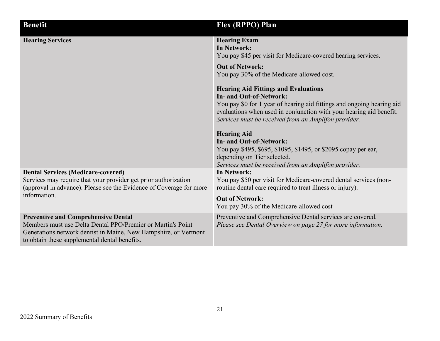| <b>Benefit</b>                                                                                                                                                                                                                | Flex (RPPO) Plan                                                                                                                                                                                                                                                                                                                                                                                                                                                                                                                                                                                      |
|-------------------------------------------------------------------------------------------------------------------------------------------------------------------------------------------------------------------------------|-------------------------------------------------------------------------------------------------------------------------------------------------------------------------------------------------------------------------------------------------------------------------------------------------------------------------------------------------------------------------------------------------------------------------------------------------------------------------------------------------------------------------------------------------------------------------------------------------------|
| <b>Hearing Services</b>                                                                                                                                                                                                       | <b>Hearing Exam</b><br><b>In Network:</b><br>You pay \$45 per visit for Medicare-covered hearing services.<br><b>Out of Network:</b><br>You pay 30% of the Medicare-allowed cost.<br><b>Hearing Aid Fittings and Evaluations</b><br><b>In- and Out-of-Network:</b><br>You pay \$0 for 1 year of hearing aid fittings and ongoing hearing aid<br>evaluations when used in conjunction with your hearing aid benefit.<br>Services must be received from an Amplifon provider.<br><b>Hearing Aid</b><br><b>In- and Out-of-Network:</b><br>You pay \$495, \$695, \$1095, \$1495, or \$2095 copay per ear, |
|                                                                                                                                                                                                                               | depending on Tier selected.<br>Services must be received from an Amplifon provider.                                                                                                                                                                                                                                                                                                                                                                                                                                                                                                                   |
| <b>Dental Services (Medicare-covered)</b><br>Services may require that your provider get prior authorization<br>(approval in advance). Please see the Evidence of Coverage for more<br>information.                           | <b>In Network:</b><br>You pay \$50 per visit for Medicare-covered dental services (non-<br>routine dental care required to treat illness or injury).<br><b>Out of Network:</b><br>You pay 30% of the Medicare-allowed cost                                                                                                                                                                                                                                                                                                                                                                            |
| <b>Preventive and Comprehensive Dental</b><br>Members must use Delta Dental PPO/Premier or Martin's Point<br>Generations network dentist in Maine, New Hampshire, or Vermont<br>to obtain these supplemental dental benefits. | Preventive and Comprehensive Dental services are covered.<br>Please see Dental Overview on page 27 for more information.                                                                                                                                                                                                                                                                                                                                                                                                                                                                              |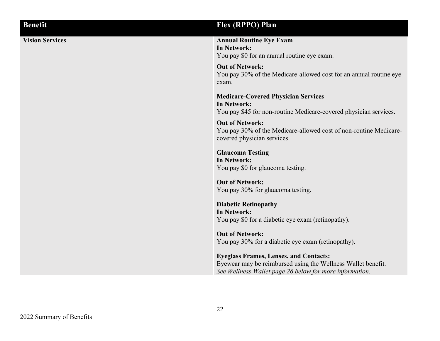| <b>Benefit</b>         | Flex (RPPO) Plan                                                                                                                                                                                                                                                                                                                   |
|------------------------|------------------------------------------------------------------------------------------------------------------------------------------------------------------------------------------------------------------------------------------------------------------------------------------------------------------------------------|
| <b>Vision Services</b> | <b>Annual Routine Eye Exam</b><br>In Network:<br>You pay \$0 for an annual routine eye exam.                                                                                                                                                                                                                                       |
|                        | <b>Out of Network:</b><br>You pay 30% of the Medicare-allowed cost for an annual routine eye<br>exam.                                                                                                                                                                                                                              |
|                        | <b>Medicare-Covered Physician Services</b><br>In Network:<br>You pay \$45 for non-routine Medicare-covered physician services.                                                                                                                                                                                                     |
|                        | <b>Out of Network:</b><br>You pay 30% of the Medicare-allowed cost of non-routine Medicare-<br>covered physician services.                                                                                                                                                                                                         |
|                        | <b>Glaucoma Testing</b><br>In Network:<br>You pay \$0 for glaucoma testing.                                                                                                                                                                                                                                                        |
|                        | <b>Out of Network:</b><br>You pay 30% for glaucoma testing.                                                                                                                                                                                                                                                                        |
|                        | <b>Diabetic Retinopathy</b><br>In Network:<br>You pay \$0 for a diabetic eye exam (retinopathy).                                                                                                                                                                                                                                   |
|                        | <b>Out of Network:</b><br>You pay 30% for a diabetic eye exam (retinopathy).                                                                                                                                                                                                                                                       |
|                        | $\mathbf{E}$ $\mathbf{E}$ $\mathbf{E}$ $\mathbf{E}$ $\mathbf{E}$ $\mathbf{E}$ $\mathbf{E}$ $\mathbf{E}$ $\mathbf{E}$ $\mathbf{E}$ $\mathbf{E}$ $\mathbf{E}$ $\mathbf{E}$ $\mathbf{E}$ $\mathbf{E}$ $\mathbf{E}$ $\mathbf{E}$ $\mathbf{E}$ $\mathbf{E}$ $\mathbf{E}$ $\mathbf{E}$ $\mathbf{E}$ $\mathbf{E}$ $\mathbf{E}$ $\mathbf{$ |

**Eyeglass Frames, Lenses, and Contacts:** Eyewear may be reimbursed using the Wellness Wallet benefit. *See Wellness Wallet page 26 below for more information.*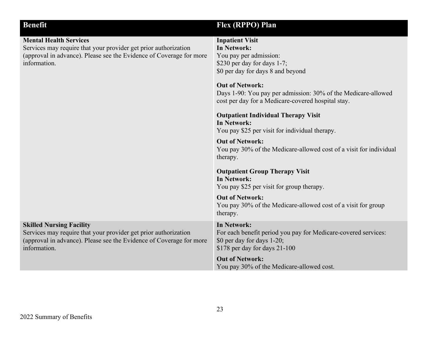| <b>Benefit</b>                                                                                                                                                                            | Flex (RPPO) Plan                                                                                                                                                                                                                                                                                                                                                                                                                                                                                                       |  |
|-------------------------------------------------------------------------------------------------------------------------------------------------------------------------------------------|------------------------------------------------------------------------------------------------------------------------------------------------------------------------------------------------------------------------------------------------------------------------------------------------------------------------------------------------------------------------------------------------------------------------------------------------------------------------------------------------------------------------|--|
| <b>Mental Health Services</b><br>Services may require that your provider get prior authorization<br>(approval in advance). Please see the Evidence of Coverage for more<br>information.   | <b>Inpatient Visit</b><br><b>In Network:</b><br>You pay per admission:<br>\$230 per day for days 1-7;<br>\$0 per day for days 8 and beyond<br><b>Out of Network:</b><br>Days 1-90: You pay per admission: 30% of the Medicare-allowed<br>cost per day for a Medicare-covered hospital stay.<br><b>Outpatient Individual Therapy Visit</b><br>In Network:<br>You pay \$25 per visit for individual therapy.<br><b>Out of Network:</b><br>You pay 30% of the Medicare-allowed cost of a visit for individual<br>therapy. |  |
|                                                                                                                                                                                           | <b>Outpatient Group Therapy Visit</b><br>In Network:<br>You pay \$25 per visit for group therapy.<br><b>Out of Network:</b>                                                                                                                                                                                                                                                                                                                                                                                            |  |
|                                                                                                                                                                                           | You pay 30% of the Medicare-allowed cost of a visit for group<br>therapy.                                                                                                                                                                                                                                                                                                                                                                                                                                              |  |
| <b>Skilled Nursing Facility</b><br>Services may require that your provider get prior authorization<br>(approval in advance). Please see the Evidence of Coverage for more<br>information. | <b>In Network:</b><br>For each benefit period you pay for Medicare-covered services:<br>\$0 per day for days 1-20;<br>\$178 per day for days 21-100                                                                                                                                                                                                                                                                                                                                                                    |  |
|                                                                                                                                                                                           | <b>Out of Network:</b><br>You pay 30% of the Medicare-allowed cost.                                                                                                                                                                                                                                                                                                                                                                                                                                                    |  |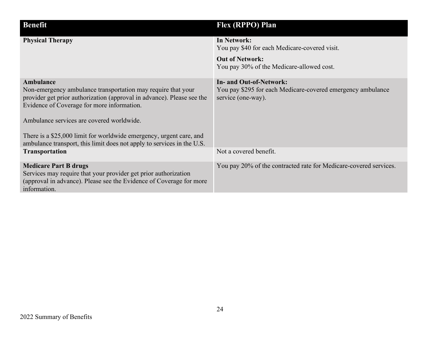| <b>Benefit</b>                                                                                                                                                                                                                                                                                                                                                                                  | Flex (RPPO) Plan                                                                                                    |
|-------------------------------------------------------------------------------------------------------------------------------------------------------------------------------------------------------------------------------------------------------------------------------------------------------------------------------------------------------------------------------------------------|---------------------------------------------------------------------------------------------------------------------|
| <b>Physical Therapy</b>                                                                                                                                                                                                                                                                                                                                                                         | In Network:<br>You pay \$40 for each Medicare-covered visit.                                                        |
|                                                                                                                                                                                                                                                                                                                                                                                                 | <b>Out of Network:</b><br>You pay 30% of the Medicare-allowed cost.                                                 |
| Ambulance<br>Non-emergency ambulance transportation may require that your<br>provider get prior authorization (approval in advance). Please see the<br>Evidence of Coverage for more information.<br>Ambulance services are covered worldwide.<br>There is a \$25,000 limit for worldwide emergency, urgent care, and<br>ambulance transport, this limit does not apply to services in the U.S. | <b>In- and Out-of-Network:</b><br>You pay \$295 for each Medicare-covered emergency ambulance<br>service (one-way). |
| <b>Transportation</b>                                                                                                                                                                                                                                                                                                                                                                           | Not a covered benefit.                                                                                              |
| <b>Medicare Part B drugs</b><br>Services may require that your provider get prior authorization<br>(approval in advance). Please see the Evidence of Coverage for more<br>information.                                                                                                                                                                                                          | You pay 20% of the contracted rate for Medicare-covered services.                                                   |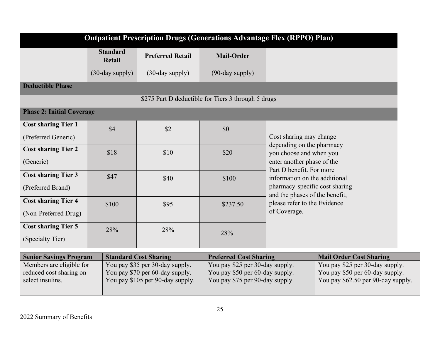| <b>Preferred Retail</b><br>$(30$ -day supply $)$ | <b>Mail-Order</b><br>$(90$ -day supply) |              |                                                                                                                                                                                                                                                                                                                                                                                                                                                                        |
|--------------------------------------------------|-----------------------------------------|--------------|------------------------------------------------------------------------------------------------------------------------------------------------------------------------------------------------------------------------------------------------------------------------------------------------------------------------------------------------------------------------------------------------------------------------------------------------------------------------|
|                                                  |                                         |              |                                                                                                                                                                                                                                                                                                                                                                                                                                                                        |
|                                                  |                                         |              |                                                                                                                                                                                                                                                                                                                                                                                                                                                                        |
|                                                  |                                         |              |                                                                                                                                                                                                                                                                                                                                                                                                                                                                        |
|                                                  |                                         |              |                                                                                                                                                                                                                                                                                                                                                                                                                                                                        |
|                                                  |                                         |              |                                                                                                                                                                                                                                                                                                                                                                                                                                                                        |
| \$2                                              | \$0                                     |              |                                                                                                                                                                                                                                                                                                                                                                                                                                                                        |
|                                                  |                                         |              |                                                                                                                                                                                                                                                                                                                                                                                                                                                                        |
| \$10                                             | \$20                                    |              |                                                                                                                                                                                                                                                                                                                                                                                                                                                                        |
|                                                  |                                         |              |                                                                                                                                                                                                                                                                                                                                                                                                                                                                        |
| \$40                                             | \$100                                   |              |                                                                                                                                                                                                                                                                                                                                                                                                                                                                        |
|                                                  |                                         |              |                                                                                                                                                                                                                                                                                                                                                                                                                                                                        |
| \$95                                             | \$237.50                                |              |                                                                                                                                                                                                                                                                                                                                                                                                                                                                        |
|                                                  |                                         | of Coverage. |                                                                                                                                                                                                                                                                                                                                                                                                                                                                        |
| 28%                                              |                                         |              |                                                                                                                                                                                                                                                                                                                                                                                                                                                                        |
|                                                  |                                         |              |                                                                                                                                                                                                                                                                                                                                                                                                                                                                        |
|                                                  |                                         |              | <b>Mail Order Cost Sharing</b>                                                                                                                                                                                                                                                                                                                                                                                                                                         |
|                                                  | <b>Standard Cost Sharing</b>            | 28%          | \$275 Part D deductible for Tiers 3 through 5 drugs<br>Cost sharing may change<br>depending on the pharmacy<br>you choose and when you<br>enter another phase of the<br>Part D benefit. For more<br>information on the additional<br>pharmacy-specific cost sharing<br>and the phases of the benefit,<br>please refer to the Evidence<br><b>Preferred Cost Sharing</b><br>$V_{\Omega U}$ pay $25$ per $30$ -day supply<br>$V_{\Omega U}$ pay $25$ per $30$ -day supply |

| <b>Senior Savings Program</b> | <b>Standard Cost Sharing</b>     | <b>Preferred Cost Sharing</b>   | Mail Order Cost Sharing            |
|-------------------------------|----------------------------------|---------------------------------|------------------------------------|
| Members are eligible for      | You pay \$35 per 30-day supply.  | You pay \$25 per 30-day supply. | You pay \$25 per 30-day supply.    |
| reduced cost sharing on       | You pay \$70 per 60-day supply.  | You pay \$50 per 60-day supply. | You pay \$50 per 60-day supply.    |
| select insulins.              | You pay \$105 per 90-day supply. | You pay \$75 per 90-day supply. | You pay \$62.50 per 90-day supply. |
|                               |                                  |                                 |                                    |
|                               |                                  |                                 |                                    |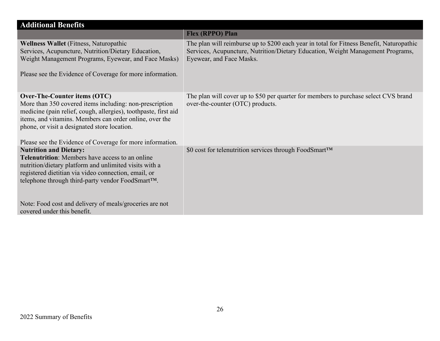| <b>Additional Benefits</b>                                                                                                                                                                                                                                                                                                         |                                                                                                                                                                                                         |  |
|------------------------------------------------------------------------------------------------------------------------------------------------------------------------------------------------------------------------------------------------------------------------------------------------------------------------------------|---------------------------------------------------------------------------------------------------------------------------------------------------------------------------------------------------------|--|
|                                                                                                                                                                                                                                                                                                                                    | <b>Flex (RPPO) Plan</b>                                                                                                                                                                                 |  |
| <b>Wellness Wallet</b> (Fitness, Naturopathic<br>Services, Acupuncture, Nutrition/Dietary Education,<br>Weight Management Programs, Eyewear, and Face Masks)<br>Please see the Evidence of Coverage for more information.                                                                                                          | The plan will reimburse up to \$200 each year in total for Fitness Benefit, Naturopathic<br>Services, Acupuncture, Nutrition/Dietary Education, Weight Management Programs,<br>Eyewear, and Face Masks. |  |
| Over-The-Counter items (OTC)<br>More than 350 covered items including: non-prescription<br>medicine (pain relief, cough, allergies), toothpaste, first aid<br>items, and vitamins. Members can order online, over the<br>phone, or visit a designated store location.<br>Please see the Evidence of Coverage for more information. | The plan will cover up to \$50 per quarter for members to purchase select CVS brand<br>over-the-counter (OTC) products.                                                                                 |  |
| <b>Nutrition and Dietary:</b><br><b>Telenutrition:</b> Members have access to an online<br>nutrition/dietary platform and unlimited visits with a<br>registered dietitian via video connection, email, or<br>telephone through third-party vendor FoodSmart™.<br>Note: Food cost and delivery of meals/groceries are not           | \$0 cost for telenutrition services through FoodSmart™                                                                                                                                                  |  |
| covered under this benefit.                                                                                                                                                                                                                                                                                                        |                                                                                                                                                                                                         |  |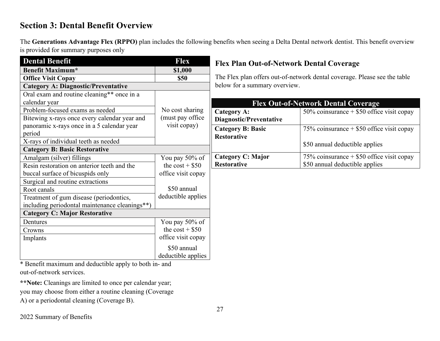# **Section 3: Dental Benefit Overview**

The **Generations Advantage Flex (RPPO)** plan includes the following benefits when seeing a Delta Dental network dentist. This benefit overview is provided for summary purposes only

| <b>Dental Benefit</b>                                  | <b>Flex</b>        | <b>Flex Plan Out-of-Network Dental Coverage</b> |                                                                           |
|--------------------------------------------------------|--------------------|-------------------------------------------------|---------------------------------------------------------------------------|
| <b>Benefit Maximum*</b>                                | \$1,000            |                                                 |                                                                           |
| <b>Office Visit Copay</b>                              | \$50               |                                                 | The Flex plan offers out-of-network dental coverage. Please see the table |
| <b>Category A: Diagnostic/Preventative</b>             |                    | below for a summary overview.                   |                                                                           |
| Oral exam and routine cleaning** once in a             |                    |                                                 |                                                                           |
| calendar year                                          |                    |                                                 | <b>Flex Out-of-Network Dental Coverage</b>                                |
| Problem-focused exams as needed                        | No cost sharing    | <b>Category A:</b>                              | 50% coinsurance $+$ \$50 office visit copay                               |
| Bitewing x-rays once every calendar year and           | (must pay office)  | Diagnostic/Preventative                         |                                                                           |
| panoramic x-rays once in a 5 calendar year             | visit copay)       | <b>Category B: Basic</b>                        | 75% coinsurance $+$ \$50 office visit copay                               |
| period                                                 |                    | <b>Restorative</b>                              |                                                                           |
| X-rays of individual teeth as needed                   |                    |                                                 | \$50 annual deductible applies                                            |
| <b>Category B: Basic Restorative</b>                   |                    |                                                 |                                                                           |
| Amalgam (silver) fillings                              | You pay 50% of     | Category C: Major                               | 75% coinsurance $+$ \$50 office visit copay                               |
| Resin restoration on anterior teeth and the            | the $cost + $50$   | <b>Restorative</b>                              | \$50 annual deductible applies                                            |
| buccal surface of bicuspids only                       | office visit copay |                                                 |                                                                           |
| Surgical and routine extractions                       |                    |                                                 |                                                                           |
| Root canals                                            | \$50 annual        |                                                 |                                                                           |
| Treatment of gum disease (periodontics,                | deductible applies |                                                 |                                                                           |
| including periodontal maintenance cleanings**)         |                    |                                                 |                                                                           |
| <b>Category C: Major Restorative</b>                   |                    |                                                 |                                                                           |
| Dentures                                               | You pay 50% of     |                                                 |                                                                           |
| Crowns                                                 | the $cost + $50$   |                                                 |                                                                           |
| Implants                                               | office visit copay |                                                 |                                                                           |
|                                                        | \$50 annual        |                                                 |                                                                           |
|                                                        | deductible applies |                                                 |                                                                           |
| * Benefit maximum and deductible apply to both in- and |                    |                                                 |                                                                           |
| out-of-network services.                               |                    |                                                 |                                                                           |

**\*\*Note:** Cleanings are limited to once per calendar year; you may choose from either a routine cleaning (Coverage A) or a periodontal cleaning (Coverage B).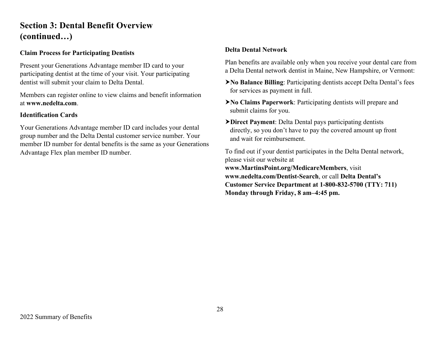# **Section 3: Dental Benefit Overview (continued…)**

#### **Claim Process for Participating Dentists**

Present your Generations Advantage member ID card to your participating dentist at the time of your visit. Your participating dentist will submit your claim to Delta Dental.

Members can register online to view claims and benefit information at **www.nedelta.com**.

#### **Identification Cards**

Your Generations Advantage member ID card includes your dental group number and the Delta Dental customer service number. Your member ID number for dental benefits is the same as your Generations Advantage Flex plan member ID number.

#### **Delta Dental Network**

Plan benefits are available only when you receive your dental care from a Delta Dental network dentist in Maine, New Hampshire, or Vermont:

- **No Balance Billing**: Participating dentists accept Delta Dental's fees for services as payment in full.
- **No Claims Paperwork**: Participating dentists will prepare and submit claims for you.
- **Direct Payment**: Delta Dental pays participating dentists directly, so you don't have to pay the covered amount up front and wait for reimbursement.

To find out if your dentist participates in the Delta Dental network, please visit our website at **www.MartinsPoint.org/MedicareMembers**, visit **www.nedelta.com/Dentist-Search**, or call **Delta Dental's Customer Service Department at 1-800-832-5700 (TTY: 711) Monday through Friday, 8 am–4:45 pm.**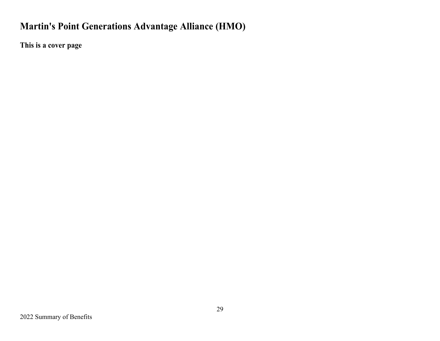# **Martin's Point Generations Advantage Alliance (HMO)**

**This is a cover page**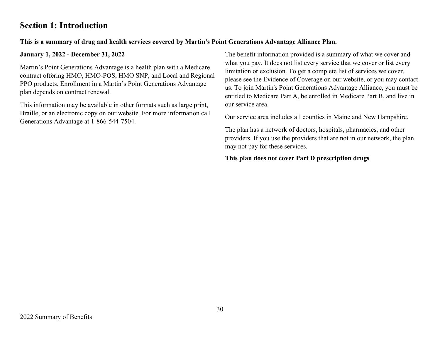# **Section 1: Introduction**

### **This is a summary of drug and health services covered by Martin's Point Generations Advantage Alliance Plan.**

**January 1, 2022 - December 31, 2022**

Martin's Point Generations Advantage is a health plan with a Medicare contract offering HMO, HMO-POS, HMO SNP, and Local and Regional PPO products. Enrollment in a Martin's Point Generations Advantage plan depends on contract renewal.

This information may be available in other formats such as large print, Braille, or an electronic copy on our website. For more information call Generations Advantage at 1-866-544-7504.

The benefit information provided is a summary of what we cover and what you pay. It does not list every service that we cover or list every limitation or exclusion. To get a complete list of services we cover, please see the Evidence of Coverage on our website, or you may contact us. To join Martin's Point Generations Advantage Alliance, you must be entitled to Medicare Part A, be enrolled in Medicare Part B, and live in our service area.

Our service area includes all counties in Maine and New Hampshire.

The plan has a network of doctors, hospitals, pharmacies, and other providers. If you use the providers that are not in our network, the plan may not pay for these services.

#### **This plan does not cover Part D prescription drugs**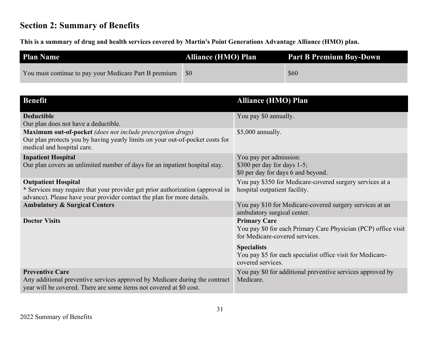# **Section 2: Summary of Benefits**

**This is a summary of drug and health services covered by Martin's Point Generations Advantage Alliance (HMO) plan.**

| <b>Plan Name</b>                                      | <b>Alliance (HMO) Plan</b> | <b>Part B Premium Buy-Down</b> |
|-------------------------------------------------------|----------------------------|--------------------------------|
| You must continue to pay your Medicare Part B premium | <b>SO</b>                  | \$60                           |

| <b>Benefit</b>                                                                                                                                                                    | <b>Alliance (HMO) Plan</b>                                                                                              |
|-----------------------------------------------------------------------------------------------------------------------------------------------------------------------------------|-------------------------------------------------------------------------------------------------------------------------|
| <b>Deductible</b>                                                                                                                                                                 | You pay \$0 annually.                                                                                                   |
| Our plan does not have a deductible.                                                                                                                                              |                                                                                                                         |
| <b>Maximum out-of-pocket</b> (does not include prescription drugs)<br>Our plan protects you by having yearly limits on your out-of-pocket costs for<br>medical and hospital care. | $$5,000$ annually.                                                                                                      |
| <b>Inpatient Hospital</b>                                                                                                                                                         | You pay per admission:                                                                                                  |
| Our plan covers an unlimited number of days for an inpatient hospital stay.                                                                                                       | \$300 per day for days $1-5$ ;<br>\$0 per day for days 6 and beyond.                                                    |
| <b>Outpatient Hospital</b>                                                                                                                                                        | You pay \$350 for Medicare-covered surgery services at a                                                                |
| * Services may require that your provider get prior authorization (approval in<br>advance). Please have your provider contact the plan for more details.                          | hospital outpatient facility.                                                                                           |
| <b>Ambulatory &amp; Surgical Centers</b>                                                                                                                                          | You pay \$10 for Medicare-covered surgery services at an<br>ambulatory surgical center.                                 |
| <b>Doctor Visits</b>                                                                                                                                                              | <b>Primary Care</b><br>You pay \$0 for each Primary Care Physician (PCP) office visit<br>for Medicare-covered services. |
|                                                                                                                                                                                   |                                                                                                                         |
|                                                                                                                                                                                   | <b>Specialists</b><br>You pay \$5 for each specialist office visit for Medicare-<br>covered services.                   |
| <b>Preventive Care</b><br>Any additional preventive services approved by Medicare during the contract<br>year will be covered. There are some items not covered at \$0 cost.      | You pay \$0 for additional preventive services approved by<br>Medicare.                                                 |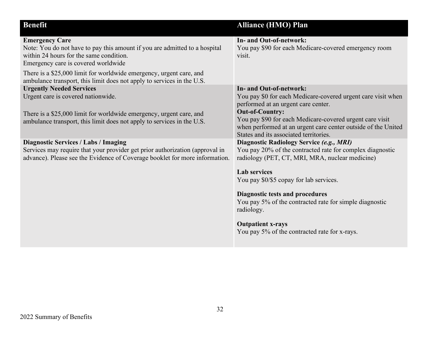| <b>Benefit</b>                                                                                                                                                                                                                                                                                                                         | <b>Alliance (HMO) Plan</b>                                                                                                                                                                                                                                                                                                                                                                                                 |
|----------------------------------------------------------------------------------------------------------------------------------------------------------------------------------------------------------------------------------------------------------------------------------------------------------------------------------------|----------------------------------------------------------------------------------------------------------------------------------------------------------------------------------------------------------------------------------------------------------------------------------------------------------------------------------------------------------------------------------------------------------------------------|
|                                                                                                                                                                                                                                                                                                                                        |                                                                                                                                                                                                                                                                                                                                                                                                                            |
| <b>Emergency Care</b><br>Note: You do not have to pay this amount if you are admitted to a hospital<br>within 24 hours for the same condition.<br>Emergency care is covered worldwide<br>There is a \$25,000 limit for worldwide emergency, urgent care, and<br>ambulance transport, this limit does not apply to services in the U.S. | In- and Out-of-network:<br>You pay \$90 for each Medicare-covered emergency room<br>visit.                                                                                                                                                                                                                                                                                                                                 |
| <b>Urgently Needed Services</b><br>Urgent care is covered nationwide.<br>There is a \$25,000 limit for worldwide emergency, urgent care, and<br>ambulance transport, this limit does not apply to services in the U.S.                                                                                                                 | <b>In- and Out-of-network:</b><br>You pay \$0 for each Medicare-covered urgent care visit when<br>performed at an urgent care center.<br><b>Out-of-Country:</b><br>You pay \$90 for each Medicare-covered urgent care visit<br>when performed at an urgent care center outside of the United<br>States and its associated territories.                                                                                     |
| <b>Diagnostic Services / Labs / Imaging</b><br>Services may require that your provider get prior authorization (approval in<br>advance). Please see the Evidence of Coverage booklet for more information.                                                                                                                             | Diagnostic Radiology Service (e.g., MRI)<br>You pay 20% of the contracted rate for complex diagnostic<br>radiology (PET, CT, MRI, MRA, nuclear medicine)<br><b>Lab</b> services<br>You pay \$0/\$5 copay for lab services.<br><b>Diagnostic tests and procedures</b><br>You pay 5% of the contracted rate for simple diagnostic<br>radiology.<br><b>Outpatient x-rays</b><br>You pay 5% of the contracted rate for x-rays. |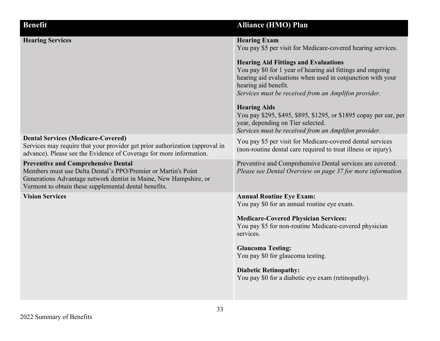| <b>Benefit</b>                                                                                                                                                                                                                            | <b>Alliance (HMO) Plan</b>                                                                                                                                                                                                                                                                                                                                                                                                                 |
|-------------------------------------------------------------------------------------------------------------------------------------------------------------------------------------------------------------------------------------------|--------------------------------------------------------------------------------------------------------------------------------------------------------------------------------------------------------------------------------------------------------------------------------------------------------------------------------------------------------------------------------------------------------------------------------------------|
| <b>Hearing Services</b>                                                                                                                                                                                                                   | <b>Hearing Exam</b><br>You pay \$5 per visit for Medicare-covered hearing services.<br><b>Hearing Aid Fittings and Evaluations</b><br>You pay \$0 for 1 year of hearing aid fittings and ongoing<br>hearing aid evaluations when used in conjunction with your<br>hearing aid benefit.<br>Services must be received from an Amplifon provider.<br><b>Hearing Aids</b><br>You pay \$295, \$495, \$895, \$1295, or \$1895 copay per ear, per |
|                                                                                                                                                                                                                                           | year, depending on Tier selected.<br>Services must be received from an Amplifon provider.                                                                                                                                                                                                                                                                                                                                                  |
| <b>Dental Services (Medicare-Covered)</b><br>Services may require that your provider get prior authorization (approval in<br>advance). Please see the Evidence of Coverage for more information.                                          | You pay \$5 per visit for Medicare-covered dental services<br>(non-routine dental care required to treat illness or injury).                                                                                                                                                                                                                                                                                                               |
| <b>Preventive and Comprehensive Dental</b><br>Members must use Delta Dental's PPO/Premier or Martin's Point<br>Generations Advantage network dentist in Maine, New Hampshire, or<br>Vermont to obtain these supplemental dental benefits. | Preventive and Comprehensive Dental services are covered.<br>Please see Dental Overview on page 37 for more information.                                                                                                                                                                                                                                                                                                                   |
| <b>Vision Services</b>                                                                                                                                                                                                                    | <b>Annual Routine Eye Exam:</b><br>You pay \$0 for an annual routine eye exam.<br><b>Medicare-Covered Physician Services:</b><br>You pay \$5 for non-routine Medicare-covered physician<br>services.<br><b>Glaucoma Testing:</b><br>You pay \$0 for glaucoma testing.<br><b>Diabetic Retinopathy:</b><br>You pay \$0 for a diabetic eye exam (retinopathy).                                                                                |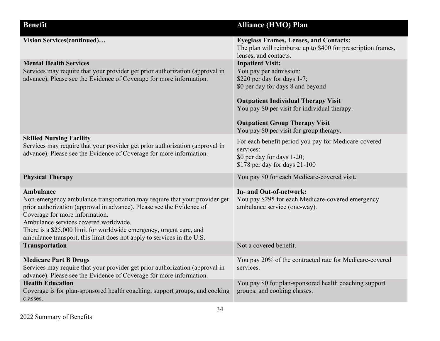| <b>Benefit</b>                                                                                                                                                                                                                                                                                                                                                                              | <b>Alliance (HMO) Plan</b>                                                                                                                                                                                                                                                                                |
|---------------------------------------------------------------------------------------------------------------------------------------------------------------------------------------------------------------------------------------------------------------------------------------------------------------------------------------------------------------------------------------------|-----------------------------------------------------------------------------------------------------------------------------------------------------------------------------------------------------------------------------------------------------------------------------------------------------------|
| Vision Services(continued)                                                                                                                                                                                                                                                                                                                                                                  | <b>Eyeglass Frames, Lenses, and Contacts:</b><br>The plan will reimburse up to \$400 for prescription frames,<br>lenses, and contacts.                                                                                                                                                                    |
| <b>Mental Health Services</b><br>Services may require that your provider get prior authorization (approval in<br>advance). Please see the Evidence of Coverage for more information.                                                                                                                                                                                                        | <b>Inpatient Visit:</b><br>You pay per admission:<br>\$220 per day for days 1-7;<br>\$0 per day for days 8 and beyond<br><b>Outpatient Individual Therapy Visit</b><br>You pay \$0 per visit for individual therapy.<br><b>Outpatient Group Therapy Visit</b><br>You pay \$0 per visit for group therapy. |
| <b>Skilled Nursing Facility</b><br>Services may require that your provider get prior authorization (approval in<br>advance). Please see the Evidence of Coverage for more information.                                                                                                                                                                                                      | For each benefit period you pay for Medicare-covered<br>services:<br>\$0 per day for days 1-20;<br>\$178 per day for days 21-100                                                                                                                                                                          |
| <b>Physical Therapy</b>                                                                                                                                                                                                                                                                                                                                                                     | You pay \$0 for each Medicare-covered visit.                                                                                                                                                                                                                                                              |
| Ambulance<br>Non-emergency ambulance transportation may require that your provider get<br>prior authorization (approval in advance). Please see the Evidence of<br>Coverage for more information.<br>Ambulance services covered worldwide.<br>There is a \$25,000 limit for worldwide emergency, urgent care, and<br>ambulance transport, this limit does not apply to services in the U.S. | In- and Out-of-network:<br>You pay \$295 for each Medicare-covered emergency<br>ambulance service (one-way).                                                                                                                                                                                              |
| <b>Transportation</b>                                                                                                                                                                                                                                                                                                                                                                       | Not a covered benefit.                                                                                                                                                                                                                                                                                    |
| <b>Medicare Part B Drugs</b><br>Services may require that your provider get prior authorization (approval in<br>advance). Please see the Evidence of Coverage for more information.                                                                                                                                                                                                         | You pay 20% of the contracted rate for Medicare-covered<br>services.                                                                                                                                                                                                                                      |
| <b>Health Education</b><br>Coverage is for plan-sponsored health coaching, support groups, and cooking<br>classes.                                                                                                                                                                                                                                                                          | You pay \$0 for plan-sponsored health coaching support<br>groups, and cooking classes.                                                                                                                                                                                                                    |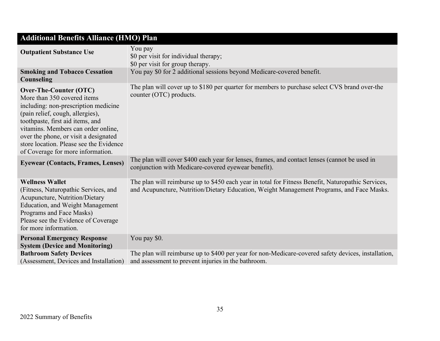| <b>Additional Benefits Alliance (HMO) Plan</b>                                                                                                                                                                                                                                                                                        |                                                                                                                                                                                                 |  |
|---------------------------------------------------------------------------------------------------------------------------------------------------------------------------------------------------------------------------------------------------------------------------------------------------------------------------------------|-------------------------------------------------------------------------------------------------------------------------------------------------------------------------------------------------|--|
| <b>Outpatient Substance Use</b>                                                                                                                                                                                                                                                                                                       | You pay<br>\$0 per visit for individual therapy;<br>\$0 per visit for group therapy.                                                                                                            |  |
| <b>Smoking and Tobacco Cessation</b><br>Counseling                                                                                                                                                                                                                                                                                    | You pay \$0 for 2 additional sessions beyond Medicare-covered benefit.                                                                                                                          |  |
| Over-The-Counter (OTC)<br>More than 350 covered items<br>including: non-prescription medicine<br>(pain relief, cough, allergies),<br>toothpaste, first aid items, and<br>vitamins. Members can order online,<br>over the phone, or visit a designated<br>store location. Please see the Evidence<br>of Coverage for more information. | The plan will cover up to \$180 per quarter for members to purchase select CVS brand over-the<br>counter (OTC) products.                                                                        |  |
| <b>Eyewear (Contacts, Frames, Lenses)</b>                                                                                                                                                                                                                                                                                             | The plan will cover \$400 each year for lenses, frames, and contact lenses (cannot be used in<br>conjunction with Medicare-covered eyewear benefit).                                            |  |
| <b>Wellness Wallet</b><br>(Fitness, Naturopathic Services, and<br>Acupuncture, Nutrition/Dietary<br><b>Education, and Weight Management</b><br>Programs and Face Masks)<br>Please see the Evidence of Coverage<br>for more information.                                                                                               | The plan will reimburse up to \$450 each year in total for Fitness Benefit, Naturopathic Services,<br>and Acupuncture, Nutrition/Dietary Education, Weight Management Programs, and Face Masks. |  |
| <b>Personal Emergency Response</b><br><b>System (Device and Monitoring)</b>                                                                                                                                                                                                                                                           | You pay \$0.                                                                                                                                                                                    |  |
| <b>Bathroom Safety Devices</b><br>(Assessment, Devices and Installation)                                                                                                                                                                                                                                                              | The plan will reimburse up to \$400 per year for non-Medicare-covered safety devices, installation,<br>and assessment to prevent injuries in the bathroom.                                      |  |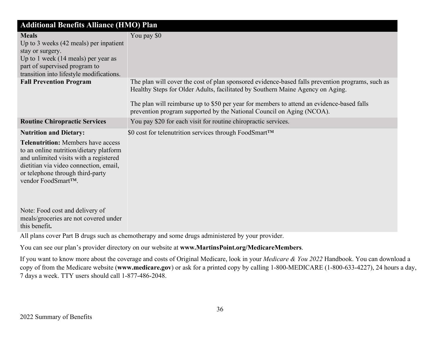| <b>Additional Benefits Alliance (HMO) Plan</b>                                                                                                                                                                                                                      |                                                                                                                                                                                                                                                                                                                                                          |  |
|---------------------------------------------------------------------------------------------------------------------------------------------------------------------------------------------------------------------------------------------------------------------|----------------------------------------------------------------------------------------------------------------------------------------------------------------------------------------------------------------------------------------------------------------------------------------------------------------------------------------------------------|--|
| <b>Meals</b><br>Up to 3 weeks $(42 \text{ meals})$ per inpatient<br>stay or surgery.<br>Up to 1 week (14 meals) per year as<br>part of supervised program to<br>transition into lifestyle modifications.                                                            | You pay \$0                                                                                                                                                                                                                                                                                                                                              |  |
| <b>Fall Prevention Program</b>                                                                                                                                                                                                                                      | The plan will cover the cost of plan sponsored evidence-based falls prevention programs, such as<br>Healthy Steps for Older Adults, facilitated by Southern Maine Agency on Aging.<br>The plan will reimburse up to \$50 per year for members to attend an evidence-based falls<br>prevention program supported by the National Council on Aging (NCOA). |  |
| <b>Routine Chiropractic Services</b>                                                                                                                                                                                                                                | You pay \$20 for each visit for routine chiropractic services.                                                                                                                                                                                                                                                                                           |  |
| <b>Nutrition and Dietary:</b><br><b>Telenutrition:</b> Members have access<br>to an online nutrition/dietary platform<br>and unlimited visits with a registered<br>dietitian via video connection, email,<br>or telephone through third-party<br>vendor FoodSmart™. | \$0 cost for telenutrition services through FoodSmart™                                                                                                                                                                                                                                                                                                   |  |
| Note: Food cost and delivery of<br>meals/groceries are not covered under<br>this benefit.                                                                                                                                                                           |                                                                                                                                                                                                                                                                                                                                                          |  |

All plans cover Part B drugs such as chemotherapy and some drugs administered by your provider.

You can see our plan's provider directory on our website at **www.MartinsPoint.org/MedicareMembers**.

If you want to know more about the coverage and costs of Original Medicare, look in your *Medicare & You 2022* Handbook. You can download a copy of from the Medicare website (**www.medicare.gov**) or ask for a printed copy by calling 1-800-MEDICARE (1-800-633-4227), 24 hours a day, 7 days a week. TTY users should call 1-877-486-2048.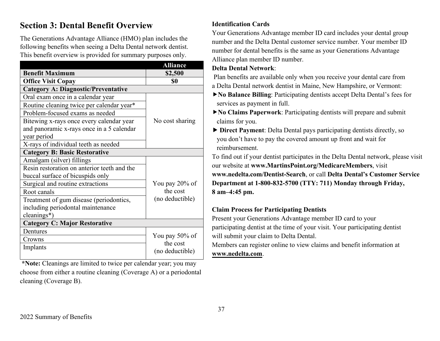# **Section 3: Dental Benefit Overview**

The Generations Advantage Alliance (HMO) plan includes the following benefits when seeing a Delta Dental network dentist. This benefit overview is provided for summary purposes only.

|                                             | <b>Alliance</b>            |  |
|---------------------------------------------|----------------------------|--|
| <b>Benefit Maximum</b>                      | \$2,500                    |  |
| <b>Office Visit Copay</b>                   | \$0                        |  |
| <b>Category A: Diagnostic/Preventative</b>  |                            |  |
| Oral exam once in a calendar year           |                            |  |
| Routine cleaning twice per calendar year*   |                            |  |
| Problem-focused exams as needed             |                            |  |
| Bitewing x-rays once every calendar year    | No cost sharing            |  |
| and panoramic x-rays once in a 5 calendar   |                            |  |
| year period                                 |                            |  |
| X-rays of individual teeth as needed        |                            |  |
| <b>Category B: Basic Restorative</b>        |                            |  |
| Amalgam (silver) fillings                   |                            |  |
| Resin restoration on anterior teeth and the |                            |  |
| buccal surface of bicuspids only            |                            |  |
| Surgical and routine extractions            | You pay 20% of             |  |
| Root canals                                 | the cost                   |  |
| Treatment of gum disease (periodontics,     | (no deductible)            |  |
| including periodontal maintenance           |                            |  |
| cleanings*)                                 |                            |  |
| <b>Category C: Major Restorative</b>        |                            |  |
| Dentures                                    |                            |  |
| Crowns                                      | You pay 50% of<br>the cost |  |
| Implants                                    | (no deductible)            |  |
|                                             |                            |  |

**\*Note:** Cleanings are limited to twice per calendar year; you may choose from either a routine cleaning (Coverage A) or a periodontal cleaning (Coverage B).

### **Identification Cards**

Your Generations Advantage member ID card includes your dental group number and the Delta Dental customer service number. Your member ID number for dental benefits is the same as your Generations Advantage Alliance plan member ID number.

### **Delta Dental Network**:

 Plan benefits are available only when you receive your dental care from a Delta Dental network dentist in Maine, New Hampshire, or Vermont:

**No Balance Billing**: Participating dentists accept Delta Dental's fees for services as payment in full.

**No Claims Paperwork**: Participating dentists will prepare and submit claims for you.

 **Direct Payment**: Delta Dental pays participating dentists directly, so you don't have to pay the covered amount up front and wait for reimbursement.

To find out if your dentist participates in the Delta Dental network, please visit our website at **www.MartinsPoint.org/MedicareMembers**, visit **www.nedelta.com/Dentist-Search**, or call **Delta Dental's Customer Service Department at 1-800-832-5700 (TTY: 711) Monday through Friday, 8 am–4:45 pm.** 

### **Claim Process for Participating Dentists**

Present your Generations Advantage member ID card to your participating dentist at the time of your visit. Your participating dentist will submit your claim to Delta Dental.

Members can register online to view claims and benefit information at **[www.nedelta.com](http://www.nedelta.com/)**.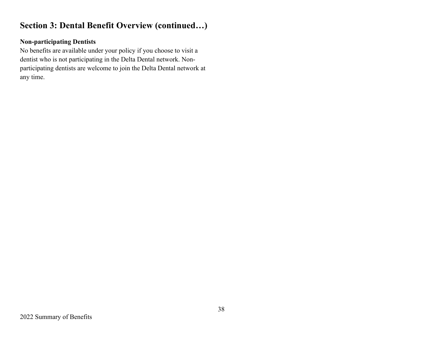# **Section 3: Dental Benefit Overview (continued…)**

### **Non-participating Dentists**

No benefits are available under your policy if you choose to visit a dentist who is not participating in the Delta Dental network. Nonparticipating dentists are welcome to join the Delta Dental network at any time.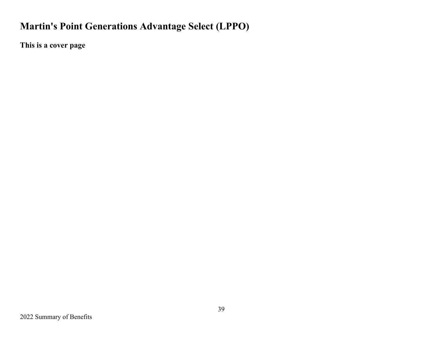# **Martin's Point Generations Advantage Select (LPPO)**

**This is a cover page**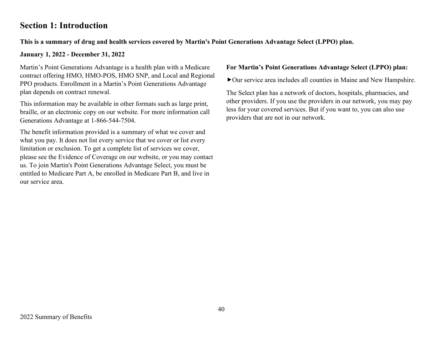# **Section 1: Introduction**

### **This is a summary of drug and health services covered by Martin's Point Generations Advantage Select (LPPO) plan.**

### **January 1, 2022 - December 31, 2022**

Martin's Point Generations Advantage is a health plan with a Medicare contract offering HMO, HMO-POS, HMO SNP, and Local and Regional PPO products. Enrollment in a Martin's Point Generations Advantage plan depends on contract renewal.

This information may be available in other formats such as large print, braille, or an electronic copy on our website. For more information call Generations Advantage at 1-866-544-7504.

The benefit information provided is a summary of what we cover and what you pay. It does not list every service that we cover or list every limitation or exclusion. To get a complete list of services we cover, please see the Evidence of Coverage on our website, or you may contact us. To join Martin's Point Generations Advantage Select, you must be entitled to Medicare Part A, be enrolled in Medicare Part B, and live in our service area.

#### **For Martin's Point Generations Advantage Select (LPPO) plan:**

Our service area includes all counties in Maine and New Hampshire.

The Select plan has a network of doctors, hospitals, pharmacies, and other providers. If you use the providers in our network, you may pay less for your covered services. But if you want to, you can also use providers that are not in our network.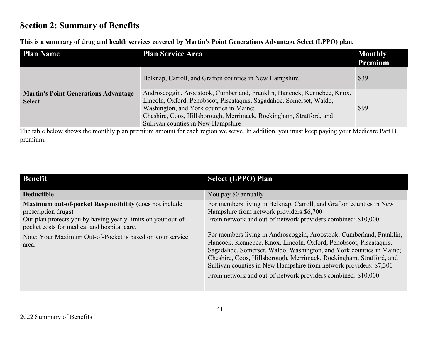# **Section 2: Summary of Benefits**

**This is a summary of drug and health services covered by Martin's Point Generations Advantage Select (LPPO) plan.**

| <b>Plan Name</b>                                             | <b>Plan Service Area</b>                                                                                                                                                                                                                                                                                | <b>Monthly</b><br>Premium |
|--------------------------------------------------------------|---------------------------------------------------------------------------------------------------------------------------------------------------------------------------------------------------------------------------------------------------------------------------------------------------------|---------------------------|
|                                                              | Belknap, Carroll, and Grafton counties in New Hampshire                                                                                                                                                                                                                                                 | \$39                      |
| <b>Martin's Point Generations Advantage</b><br><b>Select</b> | Androscoggin, Aroostook, Cumberland, Franklin, Hancock, Kennebec, Knox,<br>Lincoln, Oxford, Penobscot, Piscataquis, Sagadahoc, Somerset, Waldo,<br>Washington, and York counties in Maine;<br>Cheshire, Coos, Hillsborough, Merrimack, Rockingham, Strafford, and<br>Sullivan counties in New Hampshire | \$99                      |

The table below shows the monthly plan premium amount for each region we serve. In addition, you must keep paying your Medicare Part B premium.

| <b>Benefit</b>                                                                                                                                                                                                                                                      | <b>Select (LPPO) Plan</b>                                                                                                                                                                                                                                                                                                                                                                                                                                                                                                                                                                                         |
|---------------------------------------------------------------------------------------------------------------------------------------------------------------------------------------------------------------------------------------------------------------------|-------------------------------------------------------------------------------------------------------------------------------------------------------------------------------------------------------------------------------------------------------------------------------------------------------------------------------------------------------------------------------------------------------------------------------------------------------------------------------------------------------------------------------------------------------------------------------------------------------------------|
| <b>Deductible</b>                                                                                                                                                                                                                                                   | You pay \$0 annually                                                                                                                                                                                                                                                                                                                                                                                                                                                                                                                                                                                              |
| Maximum out-of-pocket Responsibility (does not include<br>prescription drugs)<br>Our plan protects you by having yearly limits on your out-of-<br>pocket costs for medical and hospital care.<br>Note: Your Maximum Out-of-Pocket is based on your service<br>area. | For members living in Belknap, Carroll, and Grafton counties in New<br>Hampshire from network providers: \$6,700<br>From network and out-of-network providers combined: \$10,000<br>For members living in Androscoggin, Aroostook, Cumberland, Franklin,<br>Hancock, Kennebec, Knox, Lincoln, Oxford, Penobscot, Piscataquis,<br>Sagadahoc, Somerset, Waldo, Washington, and York counties in Maine;<br>Cheshire, Coos, Hillsborough, Merrimack, Rockingham, Strafford, and<br>Sullivan counties in New Hampshire from network providers: \$7,300<br>From network and out-of-network providers combined: \$10,000 |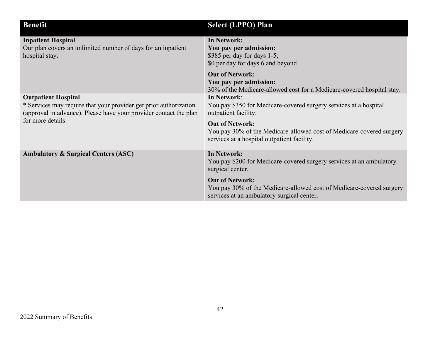| <b>Benefit</b>                                                                                                                                                                            | <b>Select (LPPO) Plan</b>                                                                                                                                                                                                                                                                                                                  |
|-------------------------------------------------------------------------------------------------------------------------------------------------------------------------------------------|--------------------------------------------------------------------------------------------------------------------------------------------------------------------------------------------------------------------------------------------------------------------------------------------------------------------------------------------|
| <b>Inpatient Hospital</b><br>Our plan covers an unlimited number of days for an inpatient<br>hospital stay.                                                                               | In Network:<br>You pay per admission:<br>\$385 per day for days $1-5$ ;<br>\$0 per day for days 6 and beyond<br><b>Out of Network:</b><br>You pay per admission:                                                                                                                                                                           |
| <b>Outpatient Hospital</b><br>* Services may require that your provider get prior authorization<br>(approval in advance). Please have your provider contact the plan<br>for more details. | 30% of the Medicare-allowed cost for a Medicare-covered hospital stay.<br><b>In Network:</b><br>You pay \$350 for Medicare-covered surgery services at a hospital<br>outpatient facility.<br><b>Out of Network:</b><br>You pay 30% of the Medicare-allowed cost of Medicare-covered surgery<br>services at a hospital outpatient facility. |
| <b>Ambulatory &amp; Surgical Centers (ASC)</b>                                                                                                                                            | In Network:<br>You pay \$200 for Medicare-covered surgery services at an ambulatory<br>surgical center.                                                                                                                                                                                                                                    |
|                                                                                                                                                                                           | <b>Out of Network:</b><br>You pay 30% of the Medicare-allowed cost of Medicare-covered surgery<br>services at an ambulatory surgical center.                                                                                                                                                                                               |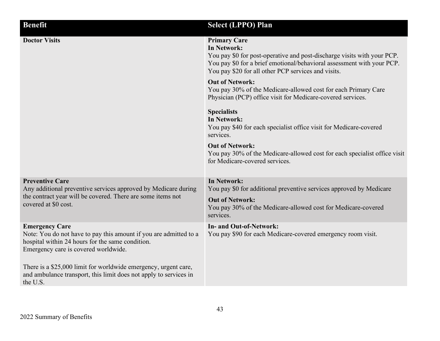| <b>Benefit</b>                                                                                                                                                                         | <b>Select (LPPO) Plan</b>                                                                                                                                                                                                                      |
|----------------------------------------------------------------------------------------------------------------------------------------------------------------------------------------|------------------------------------------------------------------------------------------------------------------------------------------------------------------------------------------------------------------------------------------------|
| <b>Doctor Visits</b>                                                                                                                                                                   | <b>Primary Care</b><br>In Network:<br>You pay \$0 for post-operative and post-discharge visits with your PCP.<br>You pay \$0 for a brief emotional/behavioral assessment with your PCP.<br>You pay \$20 for all other PCP services and visits. |
|                                                                                                                                                                                        | <b>Out of Network:</b><br>You pay 30% of the Medicare-allowed cost for each Primary Care<br>Physician (PCP) office visit for Medicare-covered services.                                                                                        |
|                                                                                                                                                                                        | <b>Specialists</b><br>In Network:<br>You pay \$40 for each specialist office visit for Medicare-covered<br>services.                                                                                                                           |
|                                                                                                                                                                                        | <b>Out of Network:</b><br>You pay 30% of the Medicare-allowed cost for each specialist office visit<br>for Medicare-covered services.                                                                                                          |
| <b>Preventive Care</b><br>Any additional preventive services approved by Medicare during                                                                                               | <b>In Network:</b><br>You pay \$0 for additional preventive services approved by Medicare                                                                                                                                                      |
| the contract year will be covered. There are some items not<br>covered at \$0 cost.                                                                                                    | <b>Out of Network:</b><br>You pay 30% of the Medicare-allowed cost for Medicare-covered<br>services.                                                                                                                                           |
| <b>Emergency Care</b><br>Note: You do not have to pay this amount if you are admitted to a<br>hospital within 24 hours for the same condition.<br>Emergency care is covered worldwide. | In- and Out-of-Network:<br>You pay \$90 for each Medicare-covered emergency room visit.                                                                                                                                                        |
| There is a \$25,000 limit for worldwide emergency, urgent care,<br>and ambulance transport, this limit does not apply to services in<br>the U.S.                                       |                                                                                                                                                                                                                                                |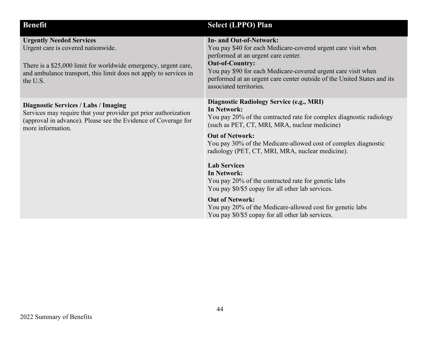| <b>Benefit</b>                                                                                                                                                                                                            | <b>Select (LPPO) Plan</b>                                                                                                                                                                                                                                                                                                                                                                                                                                                                                                                                                                                                                          |
|---------------------------------------------------------------------------------------------------------------------------------------------------------------------------------------------------------------------------|----------------------------------------------------------------------------------------------------------------------------------------------------------------------------------------------------------------------------------------------------------------------------------------------------------------------------------------------------------------------------------------------------------------------------------------------------------------------------------------------------------------------------------------------------------------------------------------------------------------------------------------------------|
| <b>Urgently Needed Services</b><br>Urgent care is covered nationwide.<br>There is a \$25,000 limit for worldwide emergency, urgent care,<br>and ambulance transport, this limit does not apply to services in<br>the U.S. | <b>In- and Out-of-Network:</b><br>You pay \$40 for each Medicare-covered urgent care visit when<br>performed at an urgent care center.<br><b>Out-of-Country:</b><br>You pay \$90 for each Medicare-covered urgent care visit when<br>performed at an urgent care center outside of the United States and its<br>associated territories.                                                                                                                                                                                                                                                                                                            |
| <b>Diagnostic Services / Labs / Imaging</b><br>Services may require that your provider get prior authorization<br>(approval in advance). Please see the Evidence of Coverage for<br>more information.                     | <b>Diagnostic Radiology Service (e.g., MRI)</b><br><b>In Network:</b><br>You pay 20% of the contracted rate for complex diagnostic radiology<br>(such as PET, CT, MRI, MRA, nuclear medicine)<br><b>Out of Network:</b><br>You pay 30% of the Medicare-allowed cost of complex diagnostic<br>radiology (PET, CT, MRI, MRA, nuclear medicine).<br><b>Lab Services</b><br><b>In Network:</b><br>You pay 20% of the contracted rate for genetic labs<br>You pay \$0/\$5 copay for all other lab services.<br><b>Out of Network:</b><br>You pay 20% of the Medicare-allowed cost for genetic labs<br>You pay \$0/\$5 copay for all other lab services. |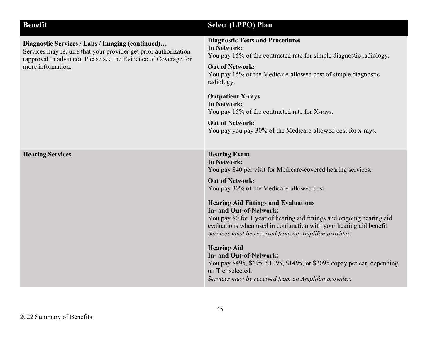| <b>Benefit</b>                                                                                                                                                                                             | <b>Select (LPPO) Plan</b>                                                                                                                                                                                                                                                                                                                                                                                                                                                                                                                                                                                                                                                             |
|------------------------------------------------------------------------------------------------------------------------------------------------------------------------------------------------------------|---------------------------------------------------------------------------------------------------------------------------------------------------------------------------------------------------------------------------------------------------------------------------------------------------------------------------------------------------------------------------------------------------------------------------------------------------------------------------------------------------------------------------------------------------------------------------------------------------------------------------------------------------------------------------------------|
| Diagnostic Services / Labs / Imaging (continued)<br>Services may require that your provider get prior authorization<br>(approval in advance). Please see the Evidence of Coverage for<br>more information. | <b>Diagnostic Tests and Procedures</b><br><b>In Network:</b><br>You pay 15% of the contracted rate for simple diagnostic radiology.<br><b>Out of Network:</b><br>You pay 15% of the Medicare-allowed cost of simple diagnostic<br>radiology.<br><b>Outpatient X-rays</b><br><b>In Network:</b><br>You pay 15% of the contracted rate for X-rays.<br><b>Out of Network:</b><br>You pay you pay 30% of the Medicare-allowed cost for x-rays.                                                                                                                                                                                                                                            |
| <b>Hearing Services</b>                                                                                                                                                                                    | <b>Hearing Exam</b><br><b>In Network:</b><br>You pay \$40 per visit for Medicare-covered hearing services.<br><b>Out of Network:</b><br>You pay 30% of the Medicare-allowed cost.<br><b>Hearing Aid Fittings and Evaluations</b><br><b>In- and Out-of-Network:</b><br>You pay \$0 for 1 year of hearing aid fittings and ongoing hearing aid<br>evaluations when used in conjunction with your hearing aid benefit.<br>Services must be received from an Amplifon provider.<br><b>Hearing Aid</b><br>In- and Out-of-Network:<br>You pay \$495, \$695, \$1095, \$1495, or \$2095 copay per ear, depending<br>on Tier selected.<br>Services must be received from an Amplifon provider. |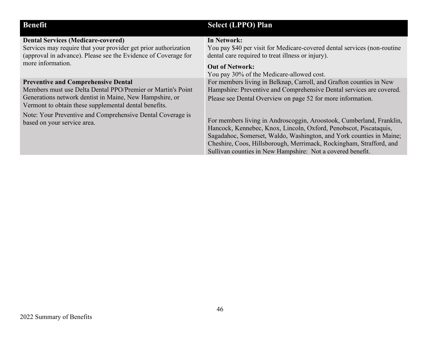| <b>Benefit</b>                                                                                                                                                                                                                | <b>Select (LPPO) Plan</b>                                                                                                                                                                                                                                                                                                                             |
|-------------------------------------------------------------------------------------------------------------------------------------------------------------------------------------------------------------------------------|-------------------------------------------------------------------------------------------------------------------------------------------------------------------------------------------------------------------------------------------------------------------------------------------------------------------------------------------------------|
| <b>Dental Services (Medicare-covered)</b><br>Services may require that your provider get prior authorization<br>(approval in advance). Please see the Evidence of Coverage for<br>more information.                           | In Network:<br>You pay \$40 per visit for Medicare-covered dental services (non-routine<br>dental care required to treat illness or injury).<br><b>Out of Network:</b><br>You pay 30% of the Medicare-allowed cost.                                                                                                                                   |
| <b>Preventive and Comprehensive Dental</b><br>Members must use Delta Dental PPO/Premier or Martin's Point<br>Generations network dentist in Maine, New Hampshire, or<br>Vermont to obtain these supplemental dental benefits. | For members living in Belknap, Carroll, and Grafton counties in New<br>Hampshire: Preventive and Comprehensive Dental services are covered.<br>Please see Dental Overview on page 52 for more information.                                                                                                                                            |
| Note: Your Preventive and Comprehensive Dental Coverage is<br>based on your service area.                                                                                                                                     | For members living in Androscoggin, Aroostook, Cumberland, Franklin,<br>Hancock, Kennebec, Knox, Lincoln, Oxford, Penobscot, Piscataquis,<br>Sagadahoc, Somerset, Waldo, Washington, and York counties in Maine;<br>Cheshire, Coos, Hillsborough, Merrimack, Rockingham, Strafford, and<br>Sullivan counties in New Hampshire: Not a covered benefit. |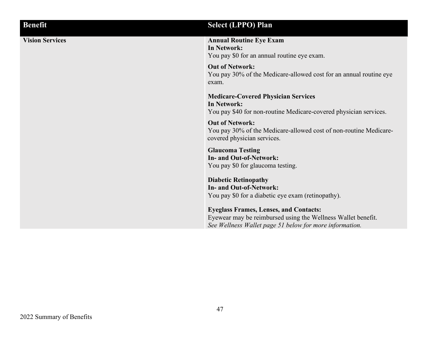| <b>Benefit</b>         | <b>Select (LPPO) Plan</b>                                                                                                                                                |
|------------------------|--------------------------------------------------------------------------------------------------------------------------------------------------------------------------|
| <b>Vision Services</b> | <b>Annual Routine Eye Exam</b><br>In Network:<br>You pay \$0 for an annual routine eye exam.                                                                             |
|                        | <b>Out of Network:</b><br>You pay 30% of the Medicare-allowed cost for an annual routine eye<br>exam.                                                                    |
|                        | <b>Medicare-Covered Physician Services</b><br>In Network:<br>You pay \$40 for non-routine Medicare-covered physician services.                                           |
|                        | <b>Out of Network:</b><br>You pay 30% of the Medicare-allowed cost of non-routine Medicare-<br>covered physician services.                                               |
|                        | <b>Glaucoma Testing</b><br>In- and Out-of-Network:<br>You pay \$0 for glaucoma testing.                                                                                  |
|                        | <b>Diabetic Retinopathy</b><br>In- and Out-of-Network:<br>You pay \$0 for a diabetic eye exam (retinopathy).                                                             |
|                        | <b>Eyeglass Frames, Lenses, and Contacts:</b><br>Eyewear may be reimbursed using the Wellness Wallet benefit.<br>See Wellness Wallet page 51 below for more information. |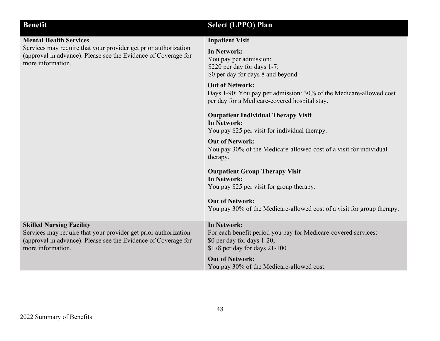| <b>Benefit</b>                                                                                                                                                                            | <b>Select (LPPO) Plan</b>                                                                                                                             |
|-------------------------------------------------------------------------------------------------------------------------------------------------------------------------------------------|-------------------------------------------------------------------------------------------------------------------------------------------------------|
| <b>Mental Health Services</b>                                                                                                                                                             | <b>Inpatient Visit</b>                                                                                                                                |
| Services may require that your provider get prior authorization<br>(approval in advance). Please see the Evidence of Coverage for<br>more information.                                    | <b>In Network:</b><br>You pay per admission:<br>\$220 per day for days 1-7;<br>\$0 per day for days 8 and beyond                                      |
|                                                                                                                                                                                           | <b>Out of Network:</b><br>Days 1-90: You pay per admission: 30% of the Medicare-allowed cost<br>per day for a Medicare-covered hospital stay.         |
|                                                                                                                                                                                           | <b>Outpatient Individual Therapy Visit</b><br><b>In Network:</b><br>You pay \$25 per visit for individual therapy.                                    |
|                                                                                                                                                                                           | <b>Out of Network:</b><br>You pay 30% of the Medicare-allowed cost of a visit for individual<br>therapy.                                              |
|                                                                                                                                                                                           | <b>Outpatient Group Therapy Visit</b><br><b>In Network:</b><br>You pay \$25 per visit for group therapy.                                              |
|                                                                                                                                                                                           | <b>Out of Network:</b><br>You pay 30% of the Medicare-allowed cost of a visit for group therapy.                                                      |
| <b>Skilled Nursing Facility</b><br>Services may require that your provider get prior authorization<br>(approval in advance). Please see the Evidence of Coverage for<br>more information. | <b>In Network:</b><br>For each benefit period you pay for Medicare-covered services:<br>\$0 per day for days 1-20;<br>\$178 per day for days $21-100$ |
|                                                                                                                                                                                           | <b>Out of Network:</b><br>You pay 30% of the Medicare-allowed cost.                                                                                   |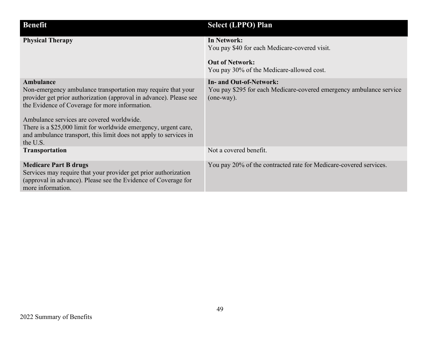| <b>Benefit</b>                                                                                                                                                                                                                                                                                                                                                                                     | <b>Select (LPPO) Plan</b>                                                                                                           |
|----------------------------------------------------------------------------------------------------------------------------------------------------------------------------------------------------------------------------------------------------------------------------------------------------------------------------------------------------------------------------------------------------|-------------------------------------------------------------------------------------------------------------------------------------|
| <b>Physical Therapy</b>                                                                                                                                                                                                                                                                                                                                                                            | In Network:<br>You pay \$40 for each Medicare-covered visit.<br><b>Out of Network:</b><br>You pay 30% of the Medicare-allowed cost. |
| Ambulance<br>Non-emergency ambulance transportation may require that your<br>provider get prior authorization (approval in advance). Please see<br>the Evidence of Coverage for more information.<br>Ambulance services are covered worldwide.<br>There is a \$25,000 limit for worldwide emergency, urgent care,<br>and ambulance transport, this limit does not apply to services in<br>the U.S. | In- and Out-of-Network:<br>You pay \$295 for each Medicare-covered emergency ambulance service<br>(one-way).                        |
| <b>Transportation</b>                                                                                                                                                                                                                                                                                                                                                                              | Not a covered benefit.                                                                                                              |
| <b>Medicare Part B drugs</b><br>Services may require that your provider get prior authorization<br>(approval in advance). Please see the Evidence of Coverage for<br>more information.                                                                                                                                                                                                             | You pay 20% of the contracted rate for Medicare-covered services.                                                                   |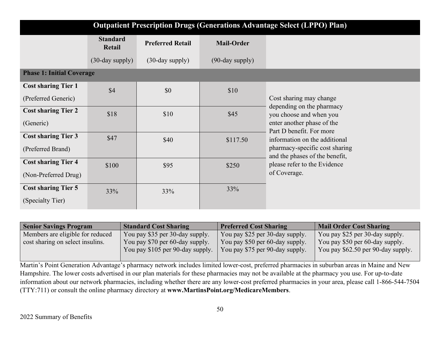| <b>Outpatient Prescription Drugs (Generations Advantage Select (LPPO) Plan)</b> |                           |                         |                    |                                                                  |
|---------------------------------------------------------------------------------|---------------------------|-------------------------|--------------------|------------------------------------------------------------------|
|                                                                                 | <b>Standard</b><br>Retail | <b>Preferred Retail</b> | <b>Mail-Order</b>  |                                                                  |
|                                                                                 | $(30$ -day supply $)$     | $(30$ -day supply $)$   | $(90$ -day supply) |                                                                  |
| <b>Phase 1: Initial Coverage</b>                                                |                           |                         |                    |                                                                  |
| <b>Cost sharing Tier 1</b>                                                      | \$4                       | \$0                     | \$10               |                                                                  |
| (Preferred Generic)                                                             |                           |                         |                    | Cost sharing may change                                          |
| <b>Cost sharing Tier 2</b>                                                      | \$18                      | \$10                    | \$45               | depending on the pharmacy<br>you choose and when you             |
| (Generic)                                                                       |                           |                         |                    | enter another phase of the<br>Part D benefit. For more           |
| <b>Cost sharing Tier 3</b>                                                      | \$47                      | \$40                    | \$117.50           | information on the additional                                    |
| (Preferred Brand)                                                               |                           |                         |                    | pharmacy-specific cost sharing<br>and the phases of the benefit, |
| <b>Cost sharing Tier 4</b>                                                      | \$100                     | \$95                    | \$250              | please refer to the Evidence                                     |
| (Non-Preferred Drug)                                                            |                           |                         |                    | of Coverage.                                                     |
| <b>Cost sharing Tier 5</b>                                                      | 33%                       | 33%                     | 33%                |                                                                  |
| (Specialty Tier)                                                                |                           |                         |                    |                                                                  |

| <b>Senior Savings Program</b>    | <b>Standard Cost Sharing</b>     | <b>Preferred Cost Sharing</b>   | Mail Order Cost Sharing            |
|----------------------------------|----------------------------------|---------------------------------|------------------------------------|
| Members are eligible for reduced | You pay \$35 per 30-day supply.  | You pay \$25 per 30-day supply. | You pay \$25 per 30-day supply.    |
| cost sharing on select insulins. | You pay \$70 per 60-day supply.  | You pay \$50 per 60-day supply. | You pay \$50 per 60-day supply.    |
|                                  | You pay \$105 per 90-day supply. | You pay \$75 per 90-day supply. | You pay \$62.50 per 90-day supply. |
|                                  |                                  |                                 |                                    |

Martin's Point Generation Advantage's pharmacy network includes limited lower-cost, preferred pharmacies in suburban areas in Maine and New Hampshire. The lower costs advertised in our plan materials for these pharmacies may not be available at the pharmacy you use. For up-to-date information about our network pharmacies, including whether there are any lower-cost preferred pharmacies in your area, please call 1-866-544-7504 (TTY:711) or consult the online pharmacy directory at **www.MartinsPoint.org/MedicareMembers**.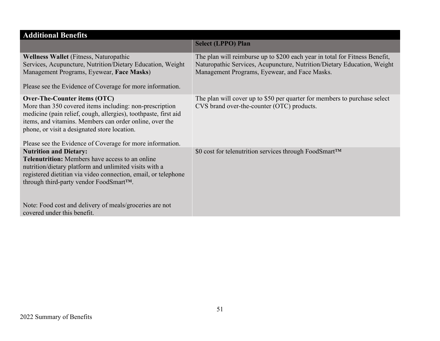| <b>Additional Benefits</b>                                                                                                                                                                                                                                                                                                                              |                                                                                                                                                                                                         |
|---------------------------------------------------------------------------------------------------------------------------------------------------------------------------------------------------------------------------------------------------------------------------------------------------------------------------------------------------------|---------------------------------------------------------------------------------------------------------------------------------------------------------------------------------------------------------|
|                                                                                                                                                                                                                                                                                                                                                         | <b>Select (LPPO) Plan</b>                                                                                                                                                                               |
| Wellness Wallet (Fitness, Naturopathic<br>Services, Acupuncture, Nutrition/Dietary Education, Weight<br>Management Programs, Eyewear, Face Masks)<br>Please see the Evidence of Coverage for more information.                                                                                                                                          | The plan will reimburse up to \$200 each year in total for Fitness Benefit,<br>Naturopathic Services, Acupuncture, Nutrition/Dietary Education, Weight<br>Management Programs, Eyewear, and Face Masks. |
| Over-The-Counter items (OTC)<br>More than 350 covered items including: non-prescription<br>medicine (pain relief, cough, allergies), toothpaste, first aid<br>items, and vitamins. Members can order online, over the<br>phone, or visit a designated store location.<br>Please see the Evidence of Coverage for more information.                      | The plan will cover up to \$50 per quarter for members to purchase select<br>CVS brand over-the-counter (OTC) products.                                                                                 |
| <b>Nutrition and Dietary:</b><br><b>Telenutrition:</b> Members have access to an online<br>nutrition/dietary platform and unlimited visits with a<br>registered dietitian via video connection, email, or telephone<br>through third-party vendor FoodSmart™.<br>Note: Food cost and delivery of meals/groceries are not<br>covered under this benefit. | \$0 cost for telenutrition services through FoodSmart™                                                                                                                                                  |
|                                                                                                                                                                                                                                                                                                                                                         |                                                                                                                                                                                                         |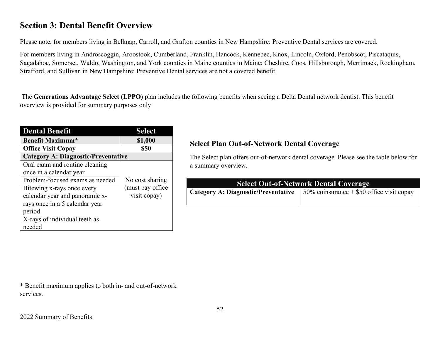# **Section 3: Dental Benefit Overview**

Please note, for members living in Belknap, Carroll, and Grafton counties in New Hampshire: Preventive Dental services are covered.

For members living in Androscoggin, Aroostook, Cumberland, Franklin, Hancock, Kennebec, Knox, Lincoln, Oxford, Penobscot, Piscataquis, Sagadahoc, Somerset, Waldo, Washington, and York counties in Maine counties in Maine; Cheshire, Coos, Hillsborough, Merrimack, Rockingham, Strafford, and Sullivan in New Hampshire: Preventive Dental services are not a covered benefit.

The **Generations Advantage Select (LPPO)** plan includes the following benefits when seeing a Delta Dental network dentist. This benefit overview is provided for summary purposes only

| <b>Dental Benefit</b>                      | <b>Select</b>     |  |
|--------------------------------------------|-------------------|--|
| <b>Benefit Maximum*</b>                    | \$1,000           |  |
| <b>Office Visit Copay</b>                  | \$50              |  |
| <b>Category A: Diagnostic/Preventative</b> |                   |  |
| Oral exam and routine cleaning             |                   |  |
| once in a calendar year                    |                   |  |
| Problem-focused exams as needed            | No cost sharing   |  |
| Bitewing x-rays once every                 | (must pay office) |  |
| calendar year and panoramic x-             | visit copay)      |  |
| rays once in a 5 calendar year             |                   |  |
| period                                     |                   |  |
| X-rays of individual teeth as              |                   |  |
| needed                                     |                   |  |

### **Select Plan Out-of-Network Dental Coverage**

The Select plan offers out-of-network dental coverage. Please see the table below for a summary overview.

| Select Out-of-Network Dental Coverage |                                                                                           |  |
|---------------------------------------|-------------------------------------------------------------------------------------------|--|
|                                       | <b>Category A: Diagnostic/Preventative</b>   $50\%$ coinsurance + \$50 office visit copay |  |
|                                       |                                                                                           |  |

\* Benefit maximum applies to both in- and out-of-network services.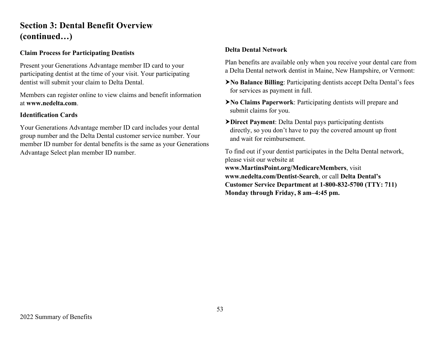# **Section 3: Dental Benefit Overview (continued…)**

### **Claim Process for Participating Dentists**

Present your Generations Advantage member ID card to your participating dentist at the time of your visit. Your participating dentist will submit your claim to Delta Dental.

Members can register online to view claims and benefit information at **www.nedelta.com**.

#### **Identification Cards**

Your Generations Advantage member ID card includes your dental group number and the Delta Dental customer service number. Your member ID number for dental benefits is the same as your Generations Advantage Select plan member ID number.

### **Delta Dental Network**

Plan benefits are available only when you receive your dental care from a Delta Dental network dentist in Maine, New Hampshire, or Vermont:

- **No Balance Billing**: Participating dentists accept Delta Dental's fees for services as payment in full.
- **No Claims Paperwork**: Participating dentists will prepare and submit claims for you.
- **Direct Payment**: Delta Dental pays participating dentists directly, so you don't have to pay the covered amount up front and wait for reimbursement.

To find out if your dentist participates in the Delta Dental network, please visit our website at **www.MartinsPoint.org/MedicareMembers**, visit **www.nedelta.com/Dentist-Search**, or call **Delta Dental's Customer Service Department at 1-800-832-5700 (TTY: 711) Monday through Friday, 8 am–4:45 pm.**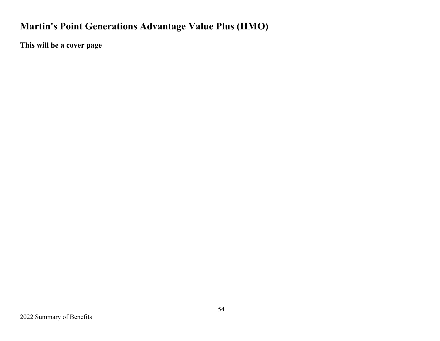# **Martin's Point Generations Advantage Value Plus (HMO)**

**This will be a cover page**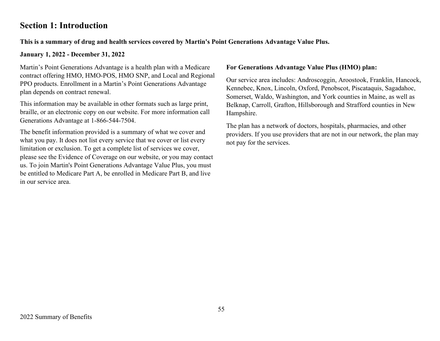# **Section 1: Introduction**

### **This is a summary of drug and health services covered by Martin's Point Generations Advantage Value Plus.**

### **January 1, 2022 - December 31, 2022**

Martin's Point Generations Advantage is a health plan with a Medicare contract offering HMO, HMO-POS, HMO SNP, and Local and Regional PPO products. Enrollment in a Martin's Point Generations Advantage plan depends on contract renewal.

This information may be available in other formats such as large print, braille, or an electronic copy on our website. For more information call Generations Advantage at 1-866-544-7504.

The benefit information provided is a summary of what we cover and what you pay. It does not list every service that we cover or list every limitation or exclusion. To get a complete list of services we cover, please see the Evidence of Coverage on our website, or you may contact us. To join Martin's Point Generations Advantage Value Plus, you must be entitled to Medicare Part A, be enrolled in Medicare Part B, and live in our service area.

#### **For Generations Advantage Value Plus (HMO) plan:**

Our service area includes: Androscoggin, Aroostook, Franklin, Hancock, Kennebec, Knox, Lincoln, Oxford, Penobscot, Piscataquis, Sagadahoc, Somerset, Waldo, Washington, and York counties in Maine, as well as Belknap, Carroll, Grafton, Hillsborough and Strafford counties in New Hampshire.

The plan has a network of doctors, hospitals, pharmacies, and other providers. If you use providers that are not in our network, the plan may not pay for the services.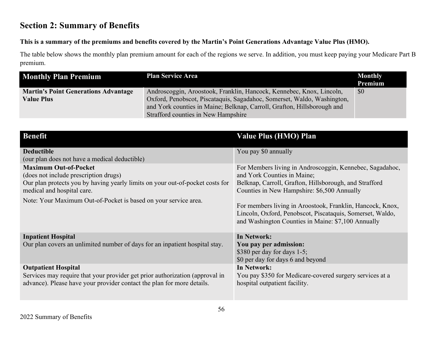# **Section 2: Summary of Benefits**

### **This is a summary of the premiums and benefits covered by the Martin's Point Generations Advantage Value Plus (HMO).**

The table below shows the monthly plan premium amount for each of the regions we serve. In addition, you must keep paying your Medicare Part B premium.

| <b>Monthly Plan Premium</b>                 | <b>Plan Service Area</b>                                                | <b>Monthly</b><br>Premium |
|---------------------------------------------|-------------------------------------------------------------------------|---------------------------|
| <b>Martin's Point Generations Advantage</b> | Androscoggin, Aroostook, Franklin, Hancock, Kennebec, Knox, Lincoln,    | \$0                       |
| <b>Value Plus</b>                           | Oxford, Penobscot, Piscataquis, Sagadahoc, Somerset, Waldo, Washington, |                           |
|                                             | and York counties in Maine; Belknap, Carroll, Grafton, Hillsborough and |                           |
|                                             | Strafford counties in New Hampshire                                     |                           |

| <b>Benefit</b>                                                                                              | <b>Value Plus (HMO) Plan</b>                                                                                                                                                 |
|-------------------------------------------------------------------------------------------------------------|------------------------------------------------------------------------------------------------------------------------------------------------------------------------------|
| <b>Deductible</b>                                                                                           | You pay \$0 annually                                                                                                                                                         |
| (our plan does not have a medical deductible)                                                               |                                                                                                                                                                              |
| <b>Maximum Out-of-Pocket</b>                                                                                | For Members living in Androscoggin, Kennebec, Sagadahoc,                                                                                                                     |
| (does not include prescription drugs)                                                                       | and York Counties in Maine;                                                                                                                                                  |
| Our plan protects you by having yearly limits on your out-of-pocket costs for<br>medical and hospital care. | Belknap, Carroll, Grafton, Hillsborough, and Strafford<br>Counties in New Hampshire: \$6,500 Annually                                                                        |
| Note: Your Maximum Out-of-Pocket is based on your service area.                                             | For members living in Aroostook, Franklin, Hancock, Knox,<br>Lincoln, Oxford, Penobscot, Piscataquis, Somerset, Waldo,<br>and Washington Counties in Maine: \$7,100 Annually |
| <b>Inpatient Hospital</b>                                                                                   | <b>In Network:</b>                                                                                                                                                           |
| Our plan covers an unlimited number of days for an inpatient hospital stay.                                 | You pay per admission:                                                                                                                                                       |
|                                                                                                             | \$380 per day for days 1-5;                                                                                                                                                  |
|                                                                                                             | \$0 per day for days 6 and beyond                                                                                                                                            |
| <b>Outpatient Hospital</b>                                                                                  | In Network:                                                                                                                                                                  |
| Services may require that your provider get prior authorization (approval in                                | You pay \$350 for Medicare-covered surgery services at a                                                                                                                     |
| advance). Please have your provider contact the plan for more details.                                      | hospital outpatient facility.                                                                                                                                                |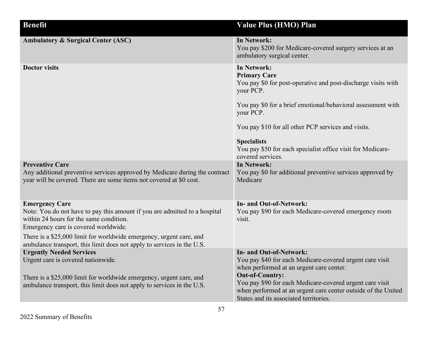| <b>Benefit</b>                                                                                                                                                                                                                                                                                                                          | <b>Value Plus (HMO) Plan</b>                                                                                                                                                                                                                                                                                                                                          |
|-----------------------------------------------------------------------------------------------------------------------------------------------------------------------------------------------------------------------------------------------------------------------------------------------------------------------------------------|-----------------------------------------------------------------------------------------------------------------------------------------------------------------------------------------------------------------------------------------------------------------------------------------------------------------------------------------------------------------------|
| <b>Ambulatory &amp; Surgical Center (ASC)</b>                                                                                                                                                                                                                                                                                           | <b>In Network:</b><br>You pay \$200 for Medicare-covered surgery services at an<br>ambulatory surgical center.                                                                                                                                                                                                                                                        |
| <b>Doctor visits</b>                                                                                                                                                                                                                                                                                                                    | <b>In Network:</b><br><b>Primary Care</b><br>You pay \$0 for post-operative and post-discharge visits with<br>your PCP.<br>You pay \$0 for a brief emotional/behavioral assessment with<br>your PCP.<br>You pay \$10 for all other PCP services and visits.<br><b>Specialists</b><br>You pay \$50 for each specialist office visit for Medicare-<br>covered services. |
| <b>Preventive Care</b><br>Any additional preventive services approved by Medicare during the contract<br>year will be covered. There are some items not covered at \$0 cost.                                                                                                                                                            | <b>In Network:</b><br>You pay \$0 for additional preventive services approved by<br>Medicare                                                                                                                                                                                                                                                                          |
| <b>Emergency Care</b><br>Note: You do not have to pay this amount if you are admitted to a hospital<br>within 24 hours for the same condition.<br>Emergency care is covered worldwide.<br>There is a \$25,000 limit for worldwide emergency, urgent care, and<br>ambulance transport, this limit does not apply to services in the U.S. | <b>In- and Out-of-Network:</b><br>You pay \$90 for each Medicare-covered emergency room<br>visit.                                                                                                                                                                                                                                                                     |
| <b>Urgently Needed Services</b><br>Urgent care is covered nationwide.<br>There is a \$25,000 limit for worldwide emergency, urgent care, and<br>ambulance transport, this limit does not apply to services in the U.S.                                                                                                                  | <b>In- and Out-of-Network:</b><br>You pay \$40 for each Medicare-covered urgent care visit<br>when performed at an urgent care center.<br><b>Out-of-Country:</b><br>You pay \$90 for each Medicare-covered urgent care visit<br>when performed at an urgent care center outside of the United<br>States and its associated territories.                               |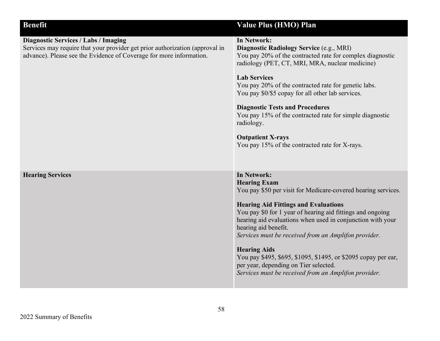| <b>Benefit</b>                                                                                                                                                                                     | <b>Value Plus (HMO) Plan</b>                                                                                                                                                                                                                                                                                                                                                                                                                                                                                                                                    |
|----------------------------------------------------------------------------------------------------------------------------------------------------------------------------------------------------|-----------------------------------------------------------------------------------------------------------------------------------------------------------------------------------------------------------------------------------------------------------------------------------------------------------------------------------------------------------------------------------------------------------------------------------------------------------------------------------------------------------------------------------------------------------------|
| <b>Diagnostic Services / Labs / Imaging</b><br>Services may require that your provider get prior authorization (approval in<br>advance). Please see the Evidence of Coverage for more information. | In Network:<br>Diagnostic Radiology Service (e.g., MRI)<br>You pay 20% of the contracted rate for complex diagnostic<br>radiology (PET, CT, MRI, MRA, nuclear medicine)<br><b>Lab Services</b><br>You pay 20% of the contracted rate for genetic labs.<br>You pay \$0/\$5 copay for all other lab services.<br><b>Diagnostic Tests and Procedures</b><br>You pay 15% of the contracted rate for simple diagnostic<br>radiology.<br><b>Outpatient X-rays</b><br>You pay 15% of the contracted rate for X-rays.                                                   |
| <b>Hearing Services</b>                                                                                                                                                                            | <b>In Network:</b><br><b>Hearing Exam</b><br>You pay \$50 per visit for Medicare-covered hearing services.<br><b>Hearing Aid Fittings and Evaluations</b><br>You pay \$0 for 1 year of hearing aid fittings and ongoing<br>hearing aid evaluations when used in conjunction with your<br>hearing aid benefit.<br>Services must be received from an Amplifon provider.<br><b>Hearing Aids</b><br>You pay \$495, \$695, \$1095, \$1495, or \$2095 copay per ear,<br>per year, depending on Tier selected.<br>Services must be received from an Amplifon provider. |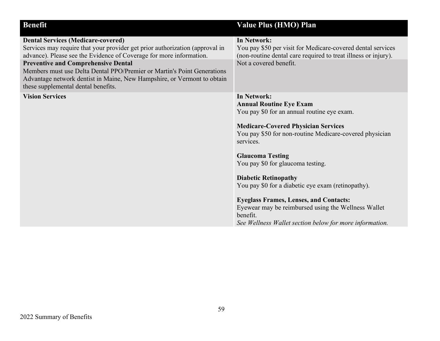| <b>Benefit</b>                                                               | <b>Value Plus (HMO) Plan</b>                                   |
|------------------------------------------------------------------------------|----------------------------------------------------------------|
| <b>Dental Services (Medicare-covered)</b>                                    | <b>In Network:</b>                                             |
| Services may require that your provider get prior authorization (approval in | You pay \$50 per visit for Medicare-covered dental services    |
| advance). Please see the Evidence of Coverage for more information.          | (non-routine dental care required to treat illness or injury). |
| <b>Preventive and Comprehensive Dental</b>                                   | Not a covered benefit.                                         |
| Members must use Delta Dental PPO/Premier or Martin's Point Generations      |                                                                |
| Advantage network dentist in Maine, New Hampshire, or Vermont to obtain      |                                                                |
| these supplemental dental benefits.                                          |                                                                |
| <b>Vision Services</b>                                                       | In Network:                                                    |
|                                                                              | <b>Annual Routine Eye Exam</b>                                 |
|                                                                              | You pay \$0 for an annual routine eye exam.                    |
|                                                                              |                                                                |
|                                                                              | <b>Medicare-Covered Physician Services</b>                     |
|                                                                              | You pay \$50 for non-routine Medicare-covered physician        |
|                                                                              | services.                                                      |
|                                                                              | <b>Glaucoma Testing</b>                                        |
|                                                                              | You pay \$0 for glaucoma testing.                              |
|                                                                              |                                                                |
|                                                                              | <b>Diabetic Retinopathy</b>                                    |
|                                                                              | You pay \$0 for a diabetic eye exam (retinopathy).             |
|                                                                              |                                                                |
|                                                                              | <b>Eyeglass Frames, Lenses, and Contacts:</b>                  |
|                                                                              | Eyewear may be reimbursed using the Wellness Wallet            |
|                                                                              | benefit.                                                       |
|                                                                              | See Wellness Wallet section below for more information.        |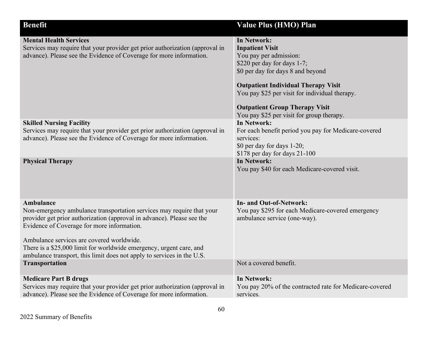| <b>Benefit</b>                                                                                                                                                                                                                                                                                                                                                                                           | Value Plus (HMO) Plan                                                                                                                                                                                                                                                                                                     |
|----------------------------------------------------------------------------------------------------------------------------------------------------------------------------------------------------------------------------------------------------------------------------------------------------------------------------------------------------------------------------------------------------------|---------------------------------------------------------------------------------------------------------------------------------------------------------------------------------------------------------------------------------------------------------------------------------------------------------------------------|
| <b>Mental Health Services</b><br>Services may require that your provider get prior authorization (approval in<br>advance). Please see the Evidence of Coverage for more information.                                                                                                                                                                                                                     | In Network:<br><b>Inpatient Visit</b><br>You pay per admission:<br>\$220 per day for days 1-7;<br>\$0 per day for days 8 and beyond<br><b>Outpatient Individual Therapy Visit</b><br>You pay \$25 per visit for individual therapy.<br><b>Outpatient Group Therapy Visit</b><br>You pay \$25 per visit for group therapy. |
| <b>Skilled Nursing Facility</b><br>Services may require that your provider get prior authorization (approval in<br>advance). Please see the Evidence of Coverage for more information.                                                                                                                                                                                                                   | <b>In Network:</b><br>For each benefit period you pay for Medicare-covered<br>services:<br>\$0 per day for days 1-20;<br>\$178 per day for days 21-100                                                                                                                                                                    |
| <b>Physical Therapy</b>                                                                                                                                                                                                                                                                                                                                                                                  | In Network:<br>You pay \$40 for each Medicare-covered visit.                                                                                                                                                                                                                                                              |
| Ambulance<br>Non-emergency ambulance transportation services may require that your<br>provider get prior authorization (approval in advance). Please see the<br>Evidence of Coverage for more information.<br>Ambulance services are covered worldwide.<br>There is a \$25,000 limit for worldwide emergency, urgent care, and<br>ambulance transport, this limit does not apply to services in the U.S. | <b>In- and Out-of-Network:</b><br>You pay \$295 for each Medicare-covered emergency<br>ambulance service (one-way).                                                                                                                                                                                                       |
| <b>Transportation</b>                                                                                                                                                                                                                                                                                                                                                                                    | Not a covered benefit.                                                                                                                                                                                                                                                                                                    |
| <b>Medicare Part B drugs</b><br>Services may require that your provider get prior authorization (approval in<br>advance). Please see the Evidence of Coverage for more information.                                                                                                                                                                                                                      | <b>In Network:</b><br>You pay 20% of the contracted rate for Medicare-covered<br>services.                                                                                                                                                                                                                                |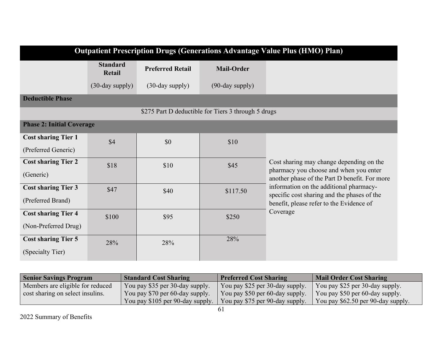| <b>Outpatient Prescription Drugs (Generations Advantage Value Plus (HMO) Plan)</b> |                           |                         |                                                     |                                                                                         |
|------------------------------------------------------------------------------------|---------------------------|-------------------------|-----------------------------------------------------|-----------------------------------------------------------------------------------------|
|                                                                                    | <b>Standard</b><br>Retail | <b>Preferred Retail</b> | <b>Mail-Order</b>                                   |                                                                                         |
|                                                                                    | $(30$ -day supply)        | $(30$ -day supply $)$   | $(90$ -day supply $)$                               |                                                                                         |
| <b>Deductible Phase</b>                                                            |                           |                         |                                                     |                                                                                         |
|                                                                                    |                           |                         | \$275 Part D deductible for Tiers 3 through 5 drugs |                                                                                         |
| <b>Phase 2: Initial Coverage</b>                                                   |                           |                         |                                                     |                                                                                         |
| <b>Cost sharing Tier 1</b>                                                         | \$4                       | \$0                     | \$10                                                |                                                                                         |
| (Preferred Generic)                                                                |                           |                         |                                                     |                                                                                         |
| <b>Cost sharing Tier 2</b>                                                         | \$18                      | \$10                    | \$45                                                | Cost sharing may change depending on the                                                |
| (Generic)                                                                          |                           |                         |                                                     | pharmacy you choose and when you enter<br>another phase of the Part D benefit. For more |
| <b>Cost sharing Tier 3</b>                                                         | \$47                      | \$40                    | \$117.50                                            | information on the additional pharmacy-<br>specific cost sharing and the phases of the  |
| (Preferred Brand)                                                                  |                           |                         |                                                     | benefit, please refer to the Evidence of                                                |
| <b>Cost sharing Tier 4</b>                                                         | \$100                     | \$95                    | \$250                                               | Coverage                                                                                |
| (Non-Preferred Drug)                                                               |                           |                         |                                                     |                                                                                         |
| <b>Cost sharing Tier 5</b>                                                         | 28%                       | 28%                     | 28%                                                 |                                                                                         |
| (Specialty Tier)                                                                   |                           |                         |                                                     |                                                                                         |

| <b>Senior Savings Program</b>    | <b>Standard Cost Sharing</b>     | <b>Preferred Cost Sharing</b>   | Mail Order Cost Sharing            |
|----------------------------------|----------------------------------|---------------------------------|------------------------------------|
| Members are eligible for reduced | You pay \$35 per 30-day supply.  | You pay \$25 per 30-day supply. | You pay \$25 per 30-day supply.    |
| cost sharing on select insulins. | You pay \$70 per 60-day supply.  | You pay \$50 per 60-day supply. | You pay \$50 per 60-day supply.    |
|                                  | You pay \$105 per 90-day supply. | You pay \$75 per 90-day supply. | You pay \$62.50 per 90-day supply. |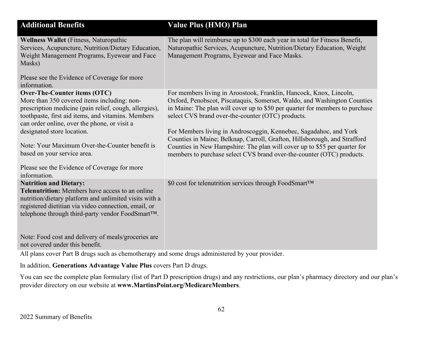| <b>Additional Benefits</b>                                                                                                                                                                                                                                    | <b>Value Plus (HMO) Plan</b>                                                                                                                                                                                                                                                                         |
|---------------------------------------------------------------------------------------------------------------------------------------------------------------------------------------------------------------------------------------------------------------|------------------------------------------------------------------------------------------------------------------------------------------------------------------------------------------------------------------------------------------------------------------------------------------------------|
| <b>Wellness Wallet</b> (Fitness, Naturopathic<br>Services, Acupuncture, Nutrition/Dietary Education,<br>Weight Management Programs, Eyewear and Face<br>Masks)                                                                                                | The plan will reimburse up to \$300 each year in total for Fitness Benefit,<br>Naturopathic Services, Acupuncture, Nutrition/Dietary Education, Weight<br>Management Programs, Eyewear and Face Masks.                                                                                               |
| Please see the Evidence of Coverage for more<br>information.                                                                                                                                                                                                  |                                                                                                                                                                                                                                                                                                      |
| Over-The-Counter items (OTC)<br>More than 350 covered items including: non-<br>prescription medicine (pain relief, cough, allergies),<br>toothpaste, first aid items, and vitamins. Members<br>can order online, over the phone, or visit a                   | For members living in Aroostook, Franklin, Hancock, Knox, Lincoln,<br>Oxford, Penobscot, Piscataquis, Somerset, Waldo, and Washington Counties<br>in Maine: The plan will cover up to \$50 per quarter for members to purchase<br>select CVS brand over-the-counter (OTC) products.                  |
| designated store location.<br>Note: Your Maximum Over-the-Counter benefit is<br>based on your service area.                                                                                                                                                   | For Members living in Androscoggin, Kennebec, Sagadahoc, and York<br>Counties in Maine; Belknap, Carroll, Grafton, Hillsborough, and Strafford<br>Counties in New Hampshire: The plan will cover up to \$55 per quarter for<br>members to purchase select CVS brand over-the-counter (OTC) products. |
| Please see the Evidence of Coverage for more<br>information.                                                                                                                                                                                                  |                                                                                                                                                                                                                                                                                                      |
| <b>Nutrition and Dietary:</b><br><b>Telenutrition:</b> Members have access to an online<br>nutrition/dietary platform and unlimited visits with a<br>registered dietitian via video connection, email, or<br>telephone through third-party vendor FoodSmart™. | \$0 cost for telenutrition services through FoodSmart™                                                                                                                                                                                                                                               |
| Note: Food cost and delivery of meals/groceries are<br>not covered under this benefit.                                                                                                                                                                        |                                                                                                                                                                                                                                                                                                      |

All plans cover Part B drugs such as chemotherapy and some drugs administered by your provider.

In addition, **Generations Advantage Value Plus** covers Part D drugs.

You can see the complete plan formulary (list of Part D prescription drugs) and any restrictions, our plan's pharmacy directory and our plan's provider directory on our website at **www.MartinsPoint.org/MedicareMembers**.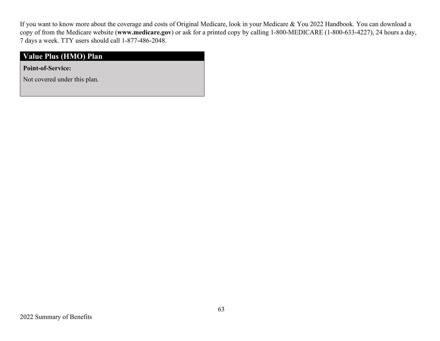If you want to know more about the coverage and costs of Original Medicare, look in your Medicare & You 2022 Handbook. You can download a copy of from the Medicare website (**www.medicare.gov**) or ask for a printed copy by calling 1-800-MEDICARE (1-800-633-4227), 24 hours a day, 7 days a week. TTY users should call 1-877-486-2048.

### **Value Plus (HMO) Plan**

**Point-of-Service:**

Not covered under this plan.